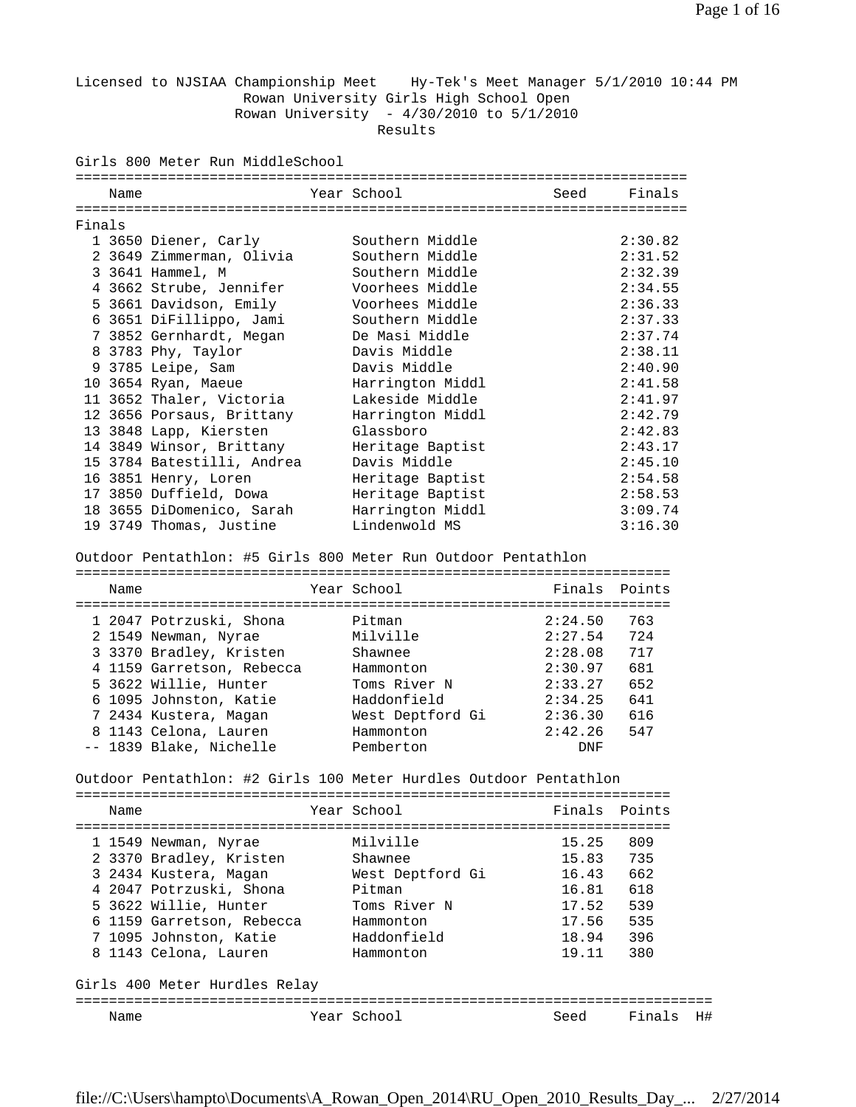Licensed to NJSIAA Championship Meet Hy-Tek's Meet Manager 5/1/2010 10:44 PM Rowan University Girls High School Open Rowan University - 4/30/2010 to 5/1/2010 Results

Girls 800 Meter Run MiddleSchool

|        | Name |                            |  | Year School      | Seed | Finals  |
|--------|------|----------------------------|--|------------------|------|---------|
|        |      |                            |  |                  |      |         |
| Finals |      |                            |  |                  |      |         |
|        |      | 1 3650 Diener, Carly       |  | Southern Middle  |      | 2:30.82 |
|        |      | 2 3649 Zimmerman, Olivia   |  | Southern Middle  |      | 2:31.52 |
|        |      | 3 3641 Hammel, M           |  | Southern Middle  |      | 2:32.39 |
|        |      | 4 3662 Strube, Jennifer    |  | Voorhees Middle  |      | 2:34.55 |
|        |      | 5 3661 Davidson, Emily     |  | Voorhees Middle  |      | 2:36.33 |
|        |      | 6 3651 DiFillippo, Jami    |  | Southern Middle  |      | 2:37.33 |
|        |      | 7 3852 Gernhardt, Megan    |  | De Masi Middle   |      | 2:37.74 |
|        |      | 8 3783 Phy, Taylor         |  | Davis Middle     |      | 2:38.11 |
|        |      | 9 3785 Leipe, Sam          |  | Davis Middle     |      | 2:40.90 |
|        |      | 10 3654 Ryan, Maeue        |  | Harrington Middl |      | 2:41.58 |
|        |      | 11 3652 Thaler, Victoria   |  | Lakeside Middle  |      | 2:41.97 |
|        |      | 12 3656 Porsaus, Brittany  |  | Harrington Middl |      | 2:42.79 |
|        |      | 13 3848 Lapp, Kiersten     |  | Glassboro        |      | 2:42.83 |
|        |      | 14 3849 Winsor, Brittany   |  | Heritage Baptist |      | 2:43.17 |
|        |      | 15 3784 Batestilli, Andrea |  | Davis Middle     |      | 2:45.10 |
|        |      | 16 3851 Henry, Loren       |  | Heritage Baptist |      | 2:54.58 |
|        |      | 17 3850 Duffield, Dowa     |  | Heritage Baptist |      | 2:58.53 |
|        |      | 18 3655 DiDomenico, Sarah  |  | Harrington Middl |      | 3:09.74 |
|        |      | 19 3749 Thomas, Justine    |  | Lindenwold MS    |      | 3:16.30 |

Outdoor Pentathlon: #5 Girls 800 Meter Run Outdoor Pentathlon

| Name |                           | Year School      | Finals Points |     |
|------|---------------------------|------------------|---------------|-----|
|      | 1 2047 Potrzuski, Shona   | Pitman           | 2:24.50       | 763 |
|      | 2 1549 Newman, Nyrae      | Milville         | 2:27.54       | 724 |
|      | 3 3370 Bradley, Kristen   | Shawnee          | 2:28.08       | 717 |
|      | 4 1159 Garretson, Rebecca | Hammonton        | 2:30.97       | 681 |
|      | 5 3622 Willie, Hunter     | Toms River N     | 2:33.27       | 652 |
|      | 6 1095 Johnston, Katie    | Haddonfield      | 2:34.25       | 641 |
|      | 7 2434 Kustera, Magan     | West Deptford Gi | 2:36.30       | 616 |
|      | 8 1143 Celona, Lauren     | Hammonton        | 2:42.26       | 547 |
|      | -- 1839 Blake, Nichelle   | Pemberton        | <b>DNF</b>    |     |

Outdoor Pentathlon: #2 Girls 100 Meter Hurdles Outdoor Pentathlon

|                               | Name                      |  | Year School      | Finals Points |        |  |  |
|-------------------------------|---------------------------|--|------------------|---------------|--------|--|--|
|                               |                           |  |                  |               |        |  |  |
|                               | 1 1549 Newman, Nyrae      |  | Milville         | 15.25         | 809    |  |  |
|                               | 2 3370 Bradley, Kristen   |  | Shawnee          | 15.83         | 735    |  |  |
|                               | 3 2434 Kustera, Magan     |  | West Deptford Gi | 16.43         | 662    |  |  |
|                               | 4 2047 Potrzuski, Shona   |  | Pitman           | 16.81         | 618    |  |  |
|                               | 5 3622 Willie, Hunter     |  | Toms River N     | 17.52         | 539    |  |  |
|                               | 6 1159 Garretson, Rebecca |  | Hammonton        | 17.56         | 535    |  |  |
|                               | 7 1095 Johnston, Katie    |  | Haddonfield      | 18.94         | 396    |  |  |
|                               | 8 1143 Celona, Lauren     |  | Hammonton        | 19.11         | 380    |  |  |
|                               |                           |  |                  |               |        |  |  |
| Girls 400 Meter Hurdles Relay |                           |  |                  |               |        |  |  |
|                               |                           |  |                  |               |        |  |  |
|                               | Name                      |  | Year School      | Seed          | Finals |  |  |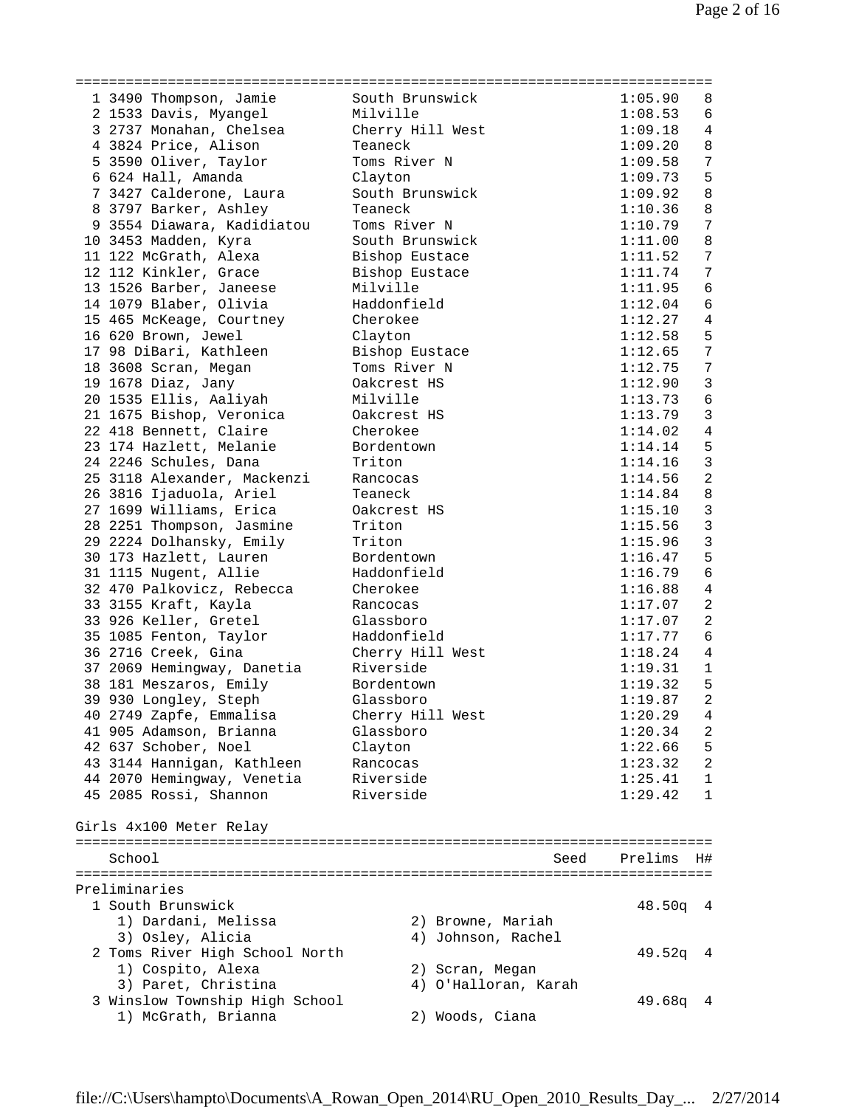| 1 3490 Thompson, Jamie         | South Brunswick      | 1:05.90    | 8               |
|--------------------------------|----------------------|------------|-----------------|
| 2 1533 Davis, Myangel          | Milville             | 1:08.53    | 6               |
| 3 2737 Monahan, Chelsea        | Cherry Hill West     | 1:09.18    | 4               |
| 4 3824 Price, Alison           | Teaneck              | 1:09.20    | 8               |
| 5 3590 Oliver, Taylor          | Toms River N         | 1:09.58    | $7\phantom{.0}$ |
|                                |                      |            | 5               |
| 6 624 Hall, Amanda             | Clayton              | 1:09.73    |                 |
| 7 3427 Calderone, Laura        | South Brunswick      | 1:09.92    | $\,8\,$         |
| 8 3797 Barker, Ashley          | Teaneck              | 1:10.36    | $\,8\,$         |
| 9 3554 Diawara, Kadidiatou     | Toms River N         | 1:10.79    | $\overline{7}$  |
| 10 3453 Madden, Kyra           | South Brunswick      | 1:11.00    | $\,8\,$         |
| 11 122 McGrath, Alexa          | Bishop Eustace       | 1:11.52    | $\sqrt{ }$      |
| 12 112 Kinkler, Grace          | Bishop Eustace       | 1:11.74    | $\sqrt{ }$      |
| 13 1526 Barber, Janeese        | Milville             | 1:11.95    | $\epsilon$      |
| 14 1079 Blaber, Olivia         | Haddonfield          | 1:12.04    | $\epsilon$      |
| 15 465 McKeage, Courtney       | Cherokee             | 1:12.27    | $\bf 4$         |
| 16 620 Brown, Jewel            | Clayton              | 1:12.58    | 5               |
| 17 98 DiBari, Kathleen         | Bishop Eustace       | 1:12.65    | $\sqrt{ }$      |
|                                |                      |            | $\overline{7}$  |
| 18 3608 Scran, Megan           | Toms River N         | 1:12.75    |                 |
| 19 1678 Diaz, Jany             | Oakcrest HS          | 1:12.90    | $\mathfrak{Z}$  |
| 20 1535 Ellis, Aaliyah         | Milville             | 1:13.73    | 6               |
| 21 1675 Bishop, Veronica       | Oakcrest HS          | 1:13.79    | $\mathbf{3}$    |
| 22 418 Bennett, Claire         | Cherokee             | 1:14.02    | $\overline{4}$  |
| 23 174 Hazlett, Melanie        | Bordentown           | 1:14.14    | 5               |
| 24 2246 Schules, Dana          | Triton               | 1:14.16    | $\mathbf{3}$    |
| 25 3118 Alexander, Mackenzi    | Rancocas             | 1:14.56    | $\overline{a}$  |
| 26 3816 Ijaduola, Ariel        | Teaneck              | 1:14.84    | $\,8\,$         |
| 27 1699 Williams, Erica        | Oakcrest HS          | 1:15.10    | $\mathbf{3}$    |
| 28 2251 Thompson, Jasmine      | Triton               | 1:15.56    | $\mathbf{3}$    |
| 29 2224 Dolhansky, Emily       | Triton               | 1:15.96    | $\mathsf 3$     |
| 30 173 Hazlett, Lauren         | Bordentown           | 1:16.47    | 5               |
|                                |                      |            | $\epsilon$      |
| 31 1115 Nugent, Allie          | Haddonfield          | 1:16.79    |                 |
| 32 470 Palkovicz, Rebecca      | Cherokee             | 1:16.88    | $\overline{4}$  |
| 33 3155 Kraft, Kayla           | Rancocas             | 1:17.07    | $\overline{a}$  |
| 33 926 Keller, Gretel          | Glassboro            | 1:17.07    | $\overline{a}$  |
| 35 1085 Fenton, Taylor         | Haddonfield          | 1:17.77    | $\epsilon$      |
| 36 2716 Creek, Gina            | Cherry Hill West     | 1:18.24    | $\sqrt{4}$      |
| 37 2069 Hemingway, Danetia     | Riverside            | 1:19.31    | $\mathbf{1}$    |
| 38 181 Meszaros, Emily         | Bordentown           | 1:19.32    | 5               |
| 39 930 Longley, Steph          | Glassboro            | 1:19.87    | $\overline{a}$  |
| 40 2749 Zapfe, Emmalisa        | Cherry Hill West     | 1:20.29    | 4               |
| 41 905 Adamson, Brianna        | Glassboro            | 1:20.34    | 2               |
| 42 637 Schober, Noel           | Clayton              | 1:22.66    | 5               |
| 43 3144 Hannigan, Kathleen     | Rancocas             | 1:23.32    | $\overline{2}$  |
|                                | Riverside            | 1:25.41    | $\mathbf 1$     |
| 44 2070 Hemingway, Venetia     |                      |            |                 |
| 45 2085 Rossi, Shannon         | Riverside            | 1:29.42    | 1               |
|                                |                      |            |                 |
| Girls 4x100 Meter Relay        |                      |            |                 |
|                                |                      |            |                 |
| School                         | Seed                 | Prelims    | H#              |
|                                |                      |            |                 |
| Preliminaries                  |                      |            |                 |
| 1 South Brunswick              |                      | $48.50q$ 4 |                 |
| 1) Dardani, Melissa            | 2) Browne, Mariah    |            |                 |
| 3) Osley, Alicia               | 4) Johnson, Rachel   |            |                 |
| 2 Toms River High School North |                      | 49.52q     | $\overline{4}$  |
| 1) Cospito, Alexa              | 2) Scran, Megan      |            |                 |
| 3) Paret, Christina            | 4) O'Halloran, Karah |            |                 |
| 3 Winslow Township High School |                      | $49.68q$ 4 |                 |
| 1) McGrath, Brianna            | 2) Woods, Ciana      |            |                 |
|                                |                      |            |                 |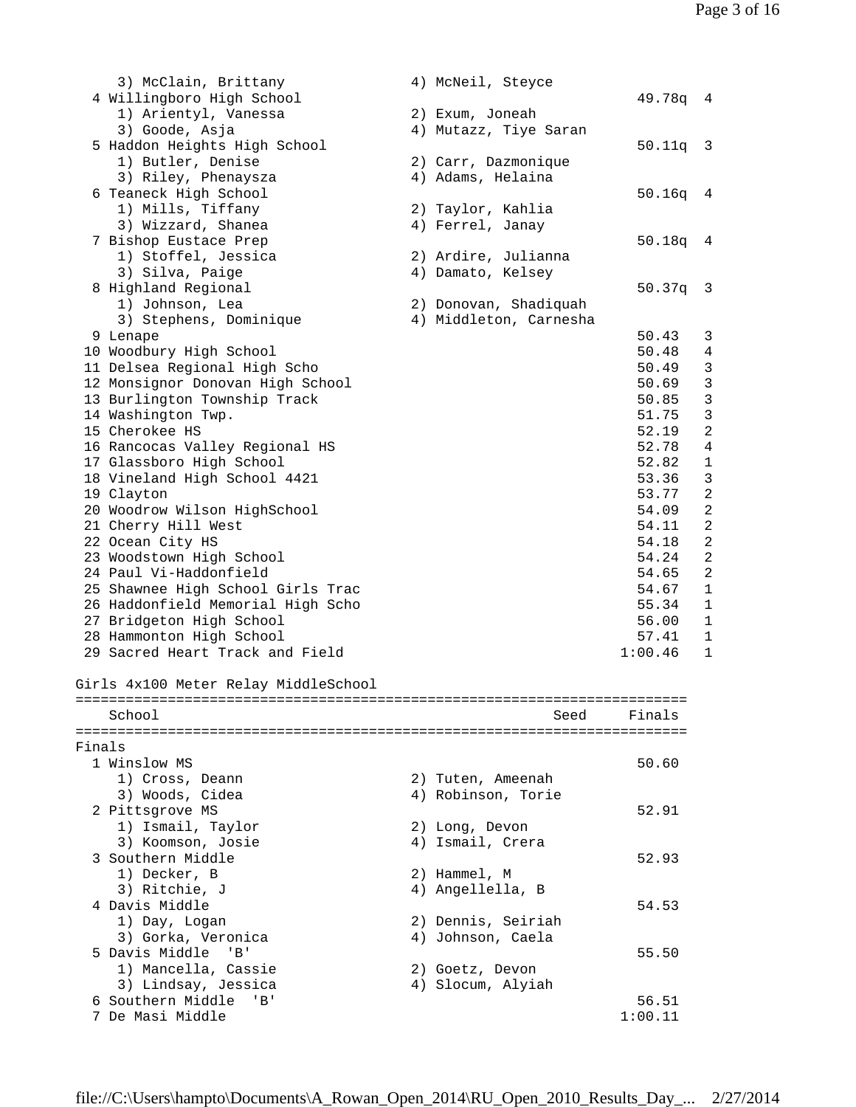|        | 3) McClain, Brittany                 | 4) McNeil, Steyce      |            |                |
|--------|--------------------------------------|------------------------|------------|----------------|
|        | 4 Willingboro High School            |                        | 49.78q 4   |                |
|        | 1) Arientyl, Vanessa                 | 2) Exum, Joneah        |            |                |
|        | 3) Goode, Asja                       | 4) Mutazz, Tiye Saran  |            |                |
|        | 5 Haddon Heights High School         |                        | $50.11q$ 3 |                |
|        | 1) Butler, Denise                    | 2) Carr, Dazmonique    |            |                |
|        | 3) Riley, Phenaysza                  | 4) Adams, Helaina      |            |                |
|        |                                      |                        |            |                |
|        | 6 Teaneck High School                |                        | 50.16q     | $\overline{4}$ |
|        | 1) Mills, Tiffany                    | 2) Taylor, Kahlia      |            |                |
|        | 3) Wizzard, Shanea                   | 4) Ferrel, Janay       |            |                |
|        | 7 Bishop Eustace Prep                |                        | 50.18q     | $\overline{4}$ |
|        | 1) Stoffel, Jessica                  | 2) Ardire, Julianna    |            |                |
|        | 3) Silva, Paige                      | 4) Damato, Kelsey      |            |                |
|        | 8 Highland Regional                  |                        | 50.37q     | 3              |
|        | 1) Johnson, Lea                      | 2) Donovan, Shadiquah  |            |                |
|        | 3) Stephens, Dominique               | 4) Middleton, Carnesha |            |                |
|        | 9 Lenape                             |                        | 50.43      | 3              |
|        | 10 Woodbury High School              |                        | 50.48      | $\overline{4}$ |
|        | 11 Delsea Regional High Scho         |                        | 50.49      | $\mathfrak{Z}$ |
|        | 12 Monsignor Donovan High School     |                        | 50.69      | $\mathbf{3}$   |
|        | 13 Burlington Township Track         |                        | 50.85      | $\mathbf{3}$   |
|        | 14 Washington Twp.                   |                        | 51.75      | $\mathbf{3}$   |
|        | 15 Cherokee HS                       |                        | 52.19      | $\sqrt{2}$     |
|        | 16 Rancocas Valley Regional HS       |                        | 52.78      | $\overline{4}$ |
|        |                                      |                        | 52.82      | $\mathbf 1$    |
|        | 17 Glassboro High School             |                        |            |                |
|        | 18 Vineland High School 4421         |                        | 53.36      | $\mathfrak{Z}$ |
|        | 19 Clayton                           |                        | 53.77      | $\sqrt{2}$     |
|        | 20 Woodrow Wilson HighSchool         |                        | 54.09      | $\overline{c}$ |
|        | 21 Cherry Hill West                  |                        | 54.11      | $\overline{c}$ |
|        | 22 Ocean City HS                     |                        | 54.18      | $\sqrt{2}$     |
|        | 23 Woodstown High School             |                        | 54.24      | $\sqrt{2}$     |
|        | 24 Paul Vi-Haddonfield               |                        | 54.65      | $\sqrt{2}$     |
|        | 25 Shawnee High School Girls Trac    |                        | 54.67      | $\mathbf{1}$   |
|        | 26 Haddonfield Memorial High Scho    |                        | 55.34      | $\mathbf{1}$   |
|        | 27 Bridgeton High School             |                        | 56.00      | 1              |
|        | 28 Hammonton High School             |                        | 57.41      | $\mathbf 1$    |
|        | 29 Sacred Heart Track and Field      |                        | 1:00.46    | $\mathbf{1}$   |
|        |                                      |                        |            |                |
|        | Girls 4x100 Meter Relay MiddleSchool |                        |            |                |
|        |                                      |                        |            |                |
|        | School                               | Seed                   | Finals     |                |
|        |                                      |                        |            |                |
| Finals |                                      |                        |            |                |
|        | 1 Winslow MS                         |                        | 50.60      |                |
|        | 1) Cross, Deann                      | 2) Tuten, Ameenah      |            |                |
|        | 3) Woods, Cidea                      | 4) Robinson, Torie     |            |                |
|        | 2 Pittsgrove MS                      |                        | 52.91      |                |
|        |                                      |                        |            |                |
|        | 1) Ismail, Taylor                    | 2) Long, Devon         |            |                |
|        | 3) Koomson, Josie                    | 4) Ismail, Crera       |            |                |
|        | 3 Southern Middle                    |                        | 52.93      |                |
|        | 1) Decker, B                         | 2) Hammel, M           |            |                |
|        | 3) Ritchie, J                        | 4) Angellella, B       |            |                |
|        | 4 Davis Middle                       |                        | 54.53      |                |
|        | 1) Day, Logan                        | 2) Dennis, Seiriah     |            |                |
|        | 3) Gorka, Veronica                   | 4) Johnson, Caela      |            |                |
|        | 5 Davis Middle<br>'B'                |                        | 55.50      |                |
|        | 1) Mancella, Cassie                  | 2) Goetz, Devon        |            |                |
|        | 3) Lindsay, Jessica                  | 4) Slocum, Alyiah      |            |                |

6 Southern Middle 'B' 56.51

7 De Masi Middle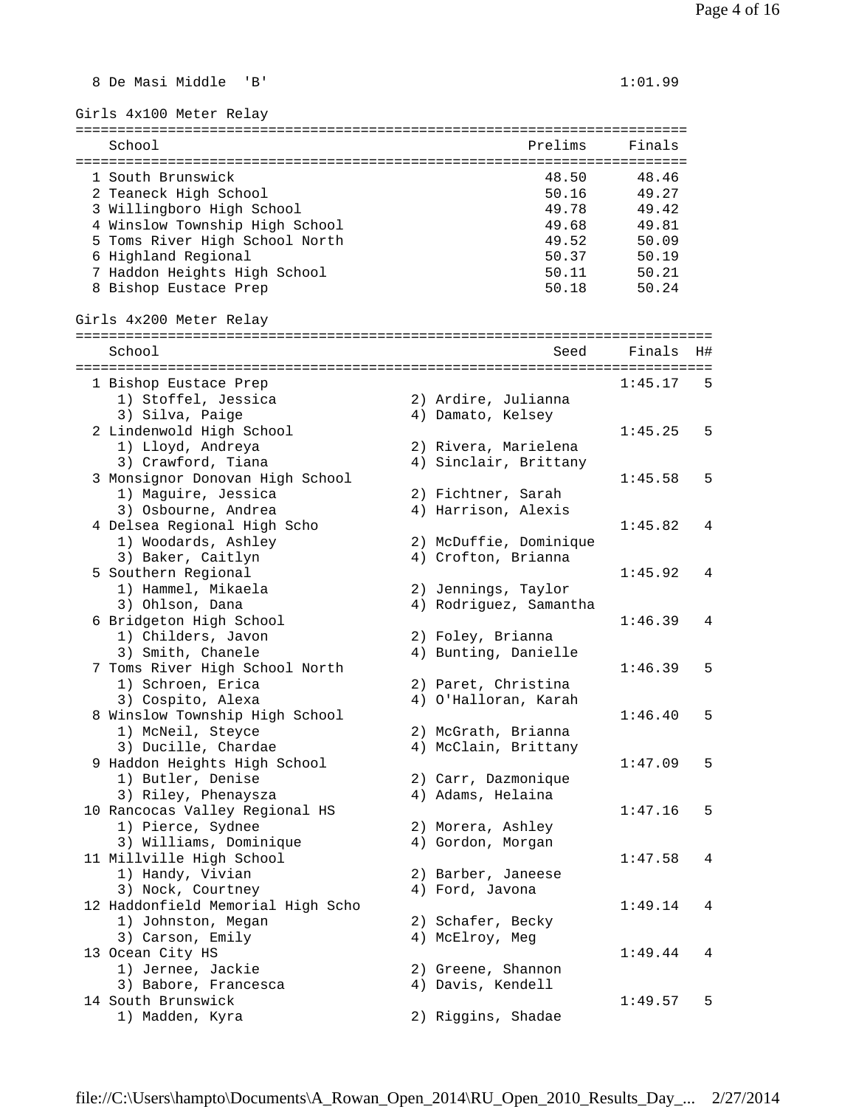Girls 4x100 Meter Relay ========================================================================= School **Prelims** Finals ========================================================================= 1 South Brunswick 48.50 48.46 2 Teaneck High School 50.16 49.27 3 Willingboro High School 4 Winslow Township High School 5 Toms River High School North 6 Highland Regional 50.37 50.19 7 Haddon Heights High School 8 Bishop Eustace Prep 60.24 Girls 4x200 Meter Relay ============================================================================ School Seed Finals H# ============================================================================ 1 Bishop Eustace Prep 1:45.17 5<br>1) Stoffel, Jessica 2) Ardire, Julianna 1) Stoffel, Jessica 2) Ardire, Julianna 3) Silva, Paige  $4)$  Damato, Kelsey 2 Lindenwold High School 1:45.25 5 1) Lloyd, Andreya 2) Rivera, Marielena 3) Crawford, Tiana 4) Sinclair, Brittany 3 Monsignor Donovan High School (1:45.58 5)<br>1:45.58 5 (1:45.58 5) 1:45.58 1:45.58 (2) Fichtner, Sarah 1) Maguire, Jessica 2) Fichtner, Sarah 3) Osbourne, Andrea 4) Harrison, Alexis 4 Delsea Regional High Scho 1:45.82 4 1) Woodards, Ashley 2) McDuffie, Dominique 4) Crofton, Brianna 5 Southern Regional 1:45.92 4<br>1) Hammel, Mikaela 1:45.92 4 1) Hammel, Mikaela 2) Jennings, Taylor 3) Ohlson, Dana 4) Rodriguez, Samantha 6 Bridgeton High School 1:46.39 4 1) Childers, Javon 2) Foley, Brianna 3) Smith, Chanele 4) Bunting, Danielle 7 Toms River High School North 1:46.39 5 1) Schroen, Erica 2) Paret, Christina 3) Cospito, Alexa 4) O'Halloran, Karah 8 Winslow Township High School 1:46.40 5 1) McNeil, Steyce 2) McGrath, Brianna 3) Ducille, Chardae 4) McClain, Brittany 9 Haddon Heights High School 1:47.09 5 1) Butler, Denise 2) Carr, Dazmonique 3) Riley, Phenaysza (4) Adams, Helaina 10 Rancocas Valley Regional HS 1:47.16 5 1) Pierce, Sydnee 2) Morera, Ashley 3) Williams, Dominique 4) Gordon, Morgan 11 Millville High School 1:47.58 4 1) Handy, Vivian 2) Barber, Janeese 3) Nock, Courtney (4) Ford, Javona 12 Haddonfield Memorial High Scho<br>1) Johnston, Megan (2) Schafer, Becky<br>2) Schafer, Becky 1) Johnston, Megan 2) Schafer, Becky 3) Carson, Emily 19 (4) McElroy, Meg 13 Ocean City HS 1:49.44 4 1) Jernee, Jackie 2) Greene, Shannon 3) Babore, Francesca 4) Davis, Kendell 14 South Brunswick 1:49.57 5

8 De Masi Middle 'B' 1:01.99

1) Madden, Kyra 2) Riggins, Shadae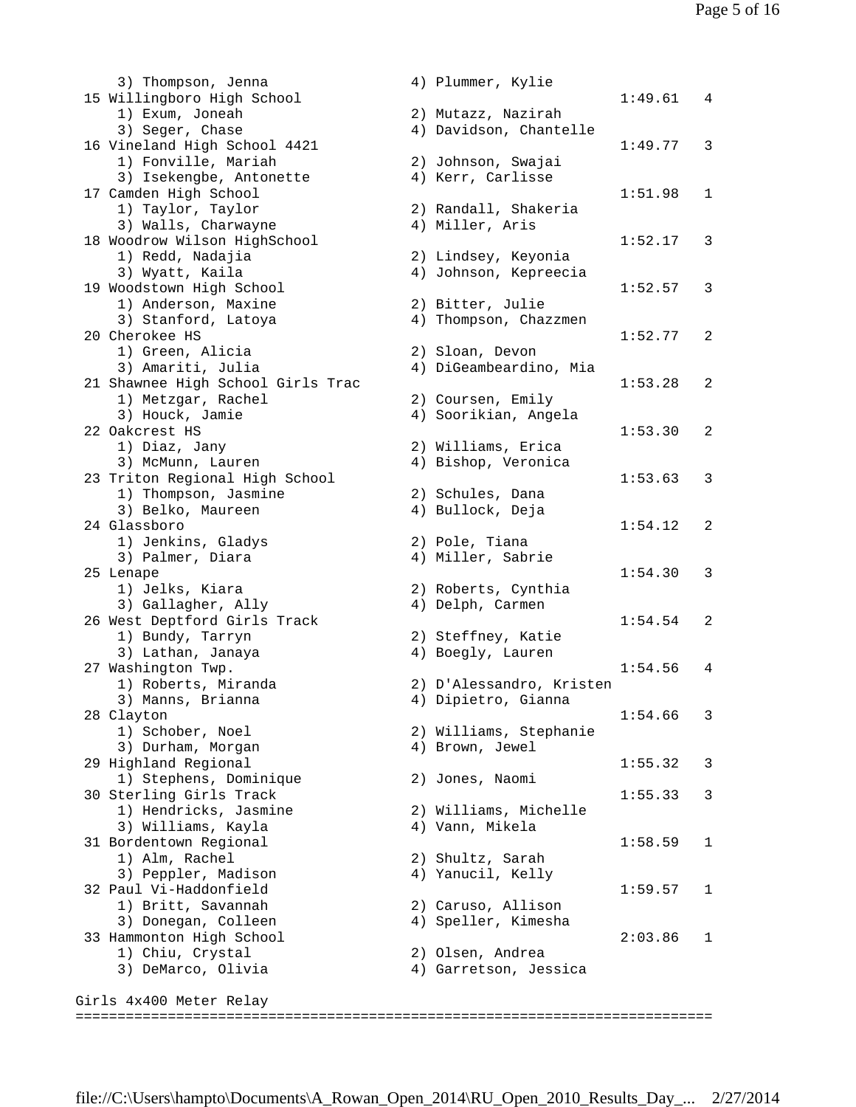3) Thompson, Jenna 15 Willingboro High School 1) Exum, Joneah 3) Seger, Chase 16 Vineland High School 4421 1) Fonville, Mariah 3) Isekengbe, Antonette 17 Camden High School 1) Taylor, Taylor 3) Walls, Charwayne 18 Woodrow Wilson HighSchool 1) Redd, Nadajia 3) Wyatt, Kaila 19 Woodstown High School 1) Anderson, Maxine 3) Stanford, Latoya 20 Cherokee HS 1) Green, Alicia 3) Amariti, Julia 21 Shawnee High School Girls Trac 1) Metzgar, Rachel 3) Houck, Jamie 22 Oakcrest HS 1) Diaz, Jany 3) McMunn, Lauren 23 Triton Regional High School 1) Thompson, Jasmine 3) Belko, Maureen 24 Glassboro 1) Jenkins, Gladys 3) Palmer, Diara 25 Lenape 1) Jelks, Kiara 3) Gallagher, Ally 26 West Deptford Girls Track 1) Bundy, Tarryn 3) Lathan, Janaya 27 Washington Twp. 1) Roberts, Miranda 3) Manns, Brianna 28 Clayton 1) Schober, Noel 3) Durham, Morgan 29 Highland Regional 1) Stephens, Dominique 30 Sterling Girls Track 1) Hendricks, Jasmine 3) Williams, Kayla 31 Bordentown Regional 1) Alm, Rachel 3) Peppler, Madison 32 Paul Vi-Haddonfield 1) Britt, Savannah 3) Donegan, Colleen 33 Hammonton High School 1) Chiu, Crystal 3) DeMarco, Olivia

|          | 4) Plummer, Kylie                            |         |   |
|----------|----------------------------------------------|---------|---|
|          |                                              | 1:49.61 | 4 |
| 2)<br>4) | Mutazz, Nazirah<br>Davidson, Chantelle       | 1:49.77 |   |
|          | 2) Johnson, Swajai<br>4) Kerr, Carlisse      |         | 3 |
|          | 2) Randall, Shakeria                         | 1:51.98 | 1 |
|          | 4) Miller, Aris                              | 1:52.17 | 3 |
|          | 2) Lindsey, Keyonia<br>4) Johnson, Kepreecia | 1:52.57 | 3 |
|          | 2) Bitter, Julie<br>4) Thompson, Chazzmen    |         |   |
|          | 2) Sloan, Devon<br>4) DiGeambeardino, Mia    | 1:52.77 | 2 |
|          | 2) Coursen, Emily                            | 1:53.28 | 2 |
|          | 4) Soorikian, Angela                         | 1:53.30 | 2 |
|          | 2) Williams, Erica<br>4) Bishop, Veronica    |         |   |
|          | 2) Schules, Dana<br>4) Bullock, Deja         | 1:53.63 | 3 |
|          | 2) Pole, Tiana                               | 1:54.12 | 2 |
|          | 4) Miller, Sabrie                            | 1:54.30 | 3 |
| 2)<br>4) | Roberts, Cynthia<br>Delph, Carmen            | 1:54.54 | 2 |
|          | 2) Steffney, Katie<br>4) Boegly, Lauren      |         |   |
|          | 2) D'Alessandro, Kristen                     | 1:54.56 | 4 |
|          | 4) Dipietro, Gianna                          | 1:54.66 | 3 |
|          | 2) Williams, Stephanie<br>4) Brown, Jewel    | 1:55.32 | 3 |
|          | 2) Jones, Naomi                              | 1:55.33 | 3 |
|          | 2) Williams, Michelle<br>4) Vann, Mikela     |         |   |
|          | 2) Shultz, Sarah<br>4) Yanucil, Kelly        | 1:58.59 | 1 |
|          | 2) Caruso, Allison                           | 1:59.57 | 1 |
|          | 4) Speller, Kimesha                          | 2:03.86 | 1 |
|          | 2) Olsen, Andrea<br>4) Garretson, Jessica    |         |   |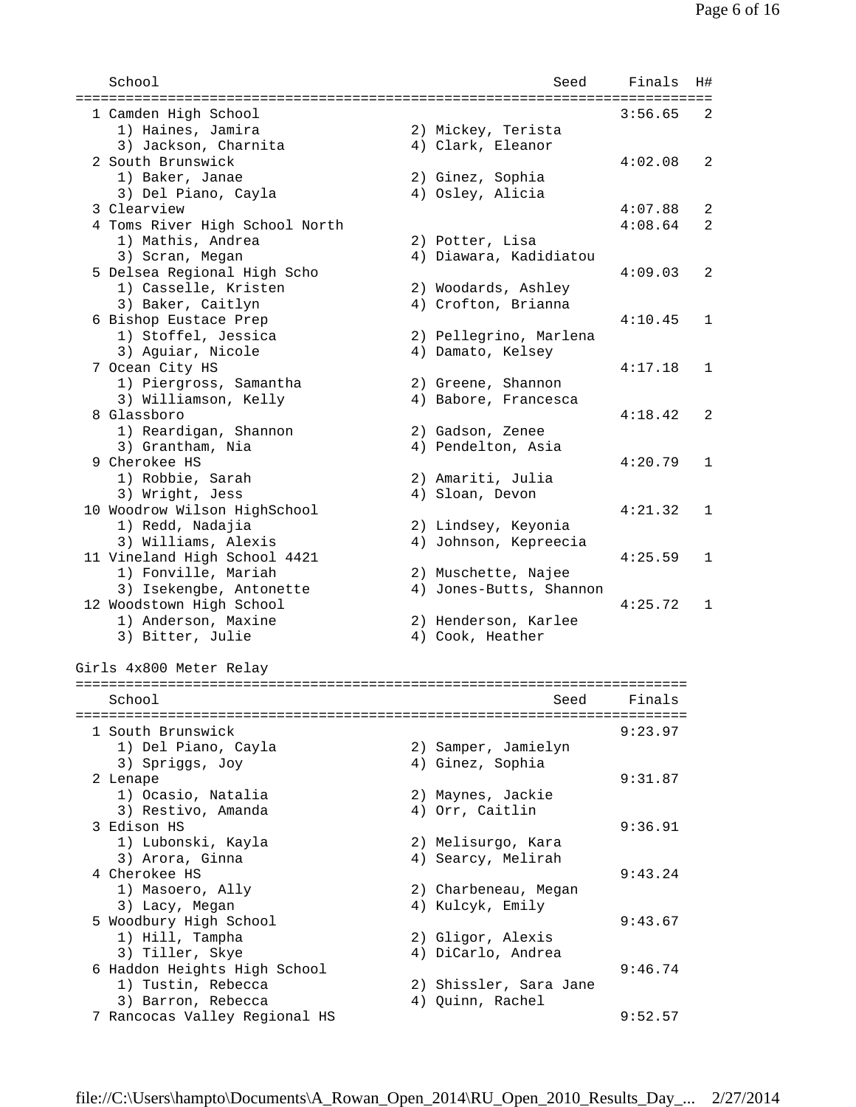| School                         | Seed                    | Finals  | H# |
|--------------------------------|-------------------------|---------|----|
| 1 Camden High School           |                         | 3:56.65 | 2  |
| 1) Haines, Jamira              | 2) Mickey, Terista      |         |    |
| 3) Jackson, Charnita           | 4) Clark, Eleanor       |         |    |
| 2 South Brunswick              |                         | 4:02.08 | 2  |
| 1) Baker, Janae                | 2) Ginez, Sophia        |         |    |
| 3) Del Piano, Cayla            | 4) Osley, Alicia        |         |    |
| 3 Clearview                    |                         | 4:07.88 | 2  |
| 4 Toms River High School North |                         | 4:08.64 | 2  |
| 1) Mathis, Andrea              | 2) Potter, Lisa         |         |    |
| 3) Scran, Megan                | 4) Diawara, Kadidiatou  |         |    |
| 5 Delsea Regional High Scho    |                         | 4:09.03 | 2  |
| 1) Casselle, Kristen           | 2) Woodards, Ashley     |         |    |
| 3) Baker, Caitlyn              | 4) Crofton, Brianna     |         |    |
| 6 Bishop Eustace Prep          |                         | 4:10.45 | 1  |
| 1) Stoffel, Jessica            | 2) Pellegrino, Marlena  |         |    |
| 3) Aguiar, Nicole              | 4) Damato, Kelsey       |         |    |
| 7 Ocean City HS                |                         | 4:17.18 | 1  |
| 1) Piergross, Samantha         | 2) Greene, Shannon      |         |    |
| 3) Williamson, Kelly           | 4) Babore, Francesca    |         |    |
| 8 Glassboro                    |                         | 4:18.42 | 2  |
| 1) Reardigan, Shannon          | 2) Gadson, Zenee        |         |    |
| 3) Grantham, Nia               | 4) Pendelton, Asia      |         |    |
| 9 Cherokee HS                  |                         | 4:20.79 | 1  |
| 1) Robbie, Sarah               | 2) Amariti, Julia       |         |    |
| 3) Wright, Jess                | 4) Sloan, Devon         |         |    |
| 10 Woodrow Wilson HighSchool   |                         | 4:21.32 | 1  |
| 1) Redd, Nadajia               | 2) Lindsey, Keyonia     |         |    |
| 3) Williams, Alexis            | 4) Johnson, Kepreecia   |         |    |
| 11 Vineland High School 4421   |                         | 4:25.59 | 1  |
| 1) Fonville, Mariah            | 2) Muschette, Najee     |         |    |
| 3) Isekengbe, Antonette        | 4) Jones-Butts, Shannon |         |    |
| 12 Woodstown High School       |                         | 4:25.72 | 1  |
| 1) Anderson, Maxine            | 2) Henderson, Karlee    |         |    |
| 3) Bitter, Julie               | 4) Cook, Heather        |         |    |
|                                |                         |         |    |
| Girls 4x800 Meter Relay        |                         |         |    |
| School                         | Seed                    | Finals  |    |
|                                |                         |         |    |
| 1 South Brunswick              |                         | 9:23.97 |    |
| 1) Del Piano, Cayla            | 2) Samper, Jamielyn     |         |    |
| 3) Spriggs, Joy                | 4) Ginez, Sophia        |         |    |
| 2 Lenape                       |                         | 9:31.87 |    |
| 1) Ocasio, Natalia             | 2) Maynes, Jackie       |         |    |
| 3) Restivo, Amanda             | 4) Orr, Caitlin         |         |    |
| 3 Edison HS                    |                         | 9:36.91 |    |
| 1) Lubonski, Kayla             | 2) Melisurgo, Kara      |         |    |
| 3) Arora, Ginna                | 4) Searcy, Melirah      |         |    |
| 4 Cherokee HS                  |                         | 9:43.24 |    |
| 1) Masoero, Ally               | 2) Charbeneau, Megan    |         |    |
| 3) Lacy, Megan                 | 4) Kulcyk, Emily        |         |    |
| 5 Woodbury High School         |                         | 9:43.67 |    |
| 1) Hill, Tampha                | 2) Gligor, Alexis       |         |    |
| 3) Tiller, Skye                | 4) DiCarlo, Andrea      |         |    |
| 6 Haddon Heights High School   |                         | 9:46.74 |    |
| 1) Tustin, Rebecca             | 2) Shissler, Sara Jane  |         |    |
| 3) Barron, Rebecca             | 4) Quinn, Rachel        |         |    |
| 7 Rancocas Valley Regional HS  |                         | 9:52.57 |    |
|                                |                         |         |    |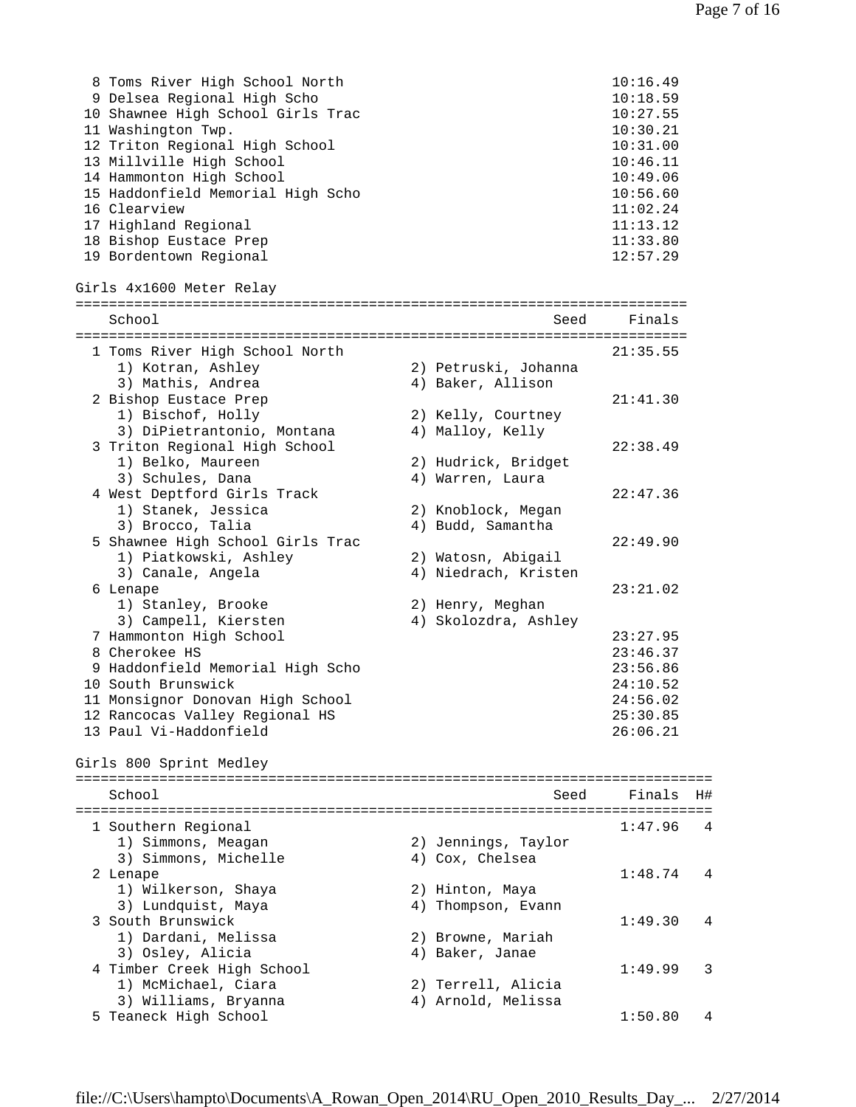| 8 Toms River High School North    | 10:16.49 |
|-----------------------------------|----------|
| 9 Delsea Regional High Scho       | 10:18.59 |
| 10 Shawnee High School Girls Trac | 10:27.55 |
| 11 Washington Twp.                | 10:30.21 |
| 12 Triton Regional High School    | 10:31.00 |
| 13 Millville High School          | 10:46.11 |
| 14 Hammonton High School          | 10:49.06 |
| 15 Haddonfield Memorial High Scho | 10:56.60 |
| 16 Clearview                      | 11:02.24 |
| 17 Highland Regional              | 11:13.12 |
| 18 Bishop Eustace Prep            | 11:33.80 |
| 19 Bordentown Regional            | 12:57.29 |

```
Girls 4x1600 Meter Relay
```

|   | School                           | Seed                 | Finals   |
|---|----------------------------------|----------------------|----------|
|   |                                  |                      |          |
|   | 1 Toms River High School North   |                      | 21:35.55 |
|   | 1) Kotran, Ashley                | 2) Petruski, Johanna |          |
|   | 3) Mathis, Andrea                | 4) Baker, Allison    |          |
|   | 2 Bishop Eustace Prep            |                      | 21:41.30 |
|   | 1) Bischof, Holly                | 2) Kelly, Courtney   |          |
|   | 3) DiPietrantonio, Montana       | 4) Malloy, Kelly     |          |
|   | 3 Triton Regional High School    |                      | 22:38.49 |
|   | 1) Belko, Maureen                | 2) Hudrick, Bridget  |          |
|   | 3) Schules, Dana                 | 4) Warren, Laura     |          |
|   | 4 West Deptford Girls Track      |                      | 22:47.36 |
|   | 1) Stanek, Jessica               | 2) Knoblock, Megan   |          |
|   | 3) Brocco, Talia                 | 4) Budd, Samantha    |          |
|   | 5 Shawnee High School Girls Trac |                      | 22:49.90 |
|   | 1) Piatkowski, Ashley            | 2) Watosn, Abigail   |          |
|   | 3) Canale, Angela                | 4) Niedrach, Kristen |          |
|   | 6 Lenape                         |                      | 23:21.02 |
|   | 1) Stanley, Brooke               | 2) Henry, Meghan     |          |
|   | 3) Campell, Kiersten             | 4) Skolozdra, Ashley |          |
|   | 7 Hammonton High School          |                      | 23:27.95 |
|   | 8 Cherokee HS                    |                      | 23:46.37 |
| 9 | Haddonfield Memorial High Scho   |                      | 23:56.86 |
|   | 10 South Brunswick               |                      | 24:10.52 |
|   | 11 Monsignor Donovan High School |                      | 24:56.02 |
|   | 12 Rancocas Valley Regional HS   |                      | 25:30.85 |
|   | 13 Paul Vi-Haddonfield           |                      | 26:06.21 |

Girls 800 Sprint Medley

| School                     | Seed                | Finals  | H# |
|----------------------------|---------------------|---------|----|
|                            |                     |         |    |
| 1 Southern Regional        |                     | 1:47.96 | 4  |
| 1) Simmons, Meagan         | 2) Jennings, Taylor |         |    |
| 3) Simmons, Michelle       | 4) Cox, Chelsea     |         |    |
| 2 Lenape                   |                     | 1:48.74 | 4  |
| 1) Wilkerson, Shaya        | 2) Hinton, Maya     |         |    |
| 3) Lundquist, Maya         | 4) Thompson, Evann  |         |    |
| 3 South Brunswick          |                     | 1:49.30 | 4  |
| 1) Dardani, Melissa        | 2) Browne, Mariah   |         |    |
| 3) Osley, Alicia           | 4) Baker, Janae     |         |    |
| 4 Timber Creek High School |                     | 1:49.99 | 3  |
| 1) McMichael, Ciara        | 2) Terrell, Alicia  |         |    |
| 3) Williams, Bryanna       | 4) Arnold, Melissa  |         |    |
| 5 Teaneck High School      |                     | 1:50.80 |    |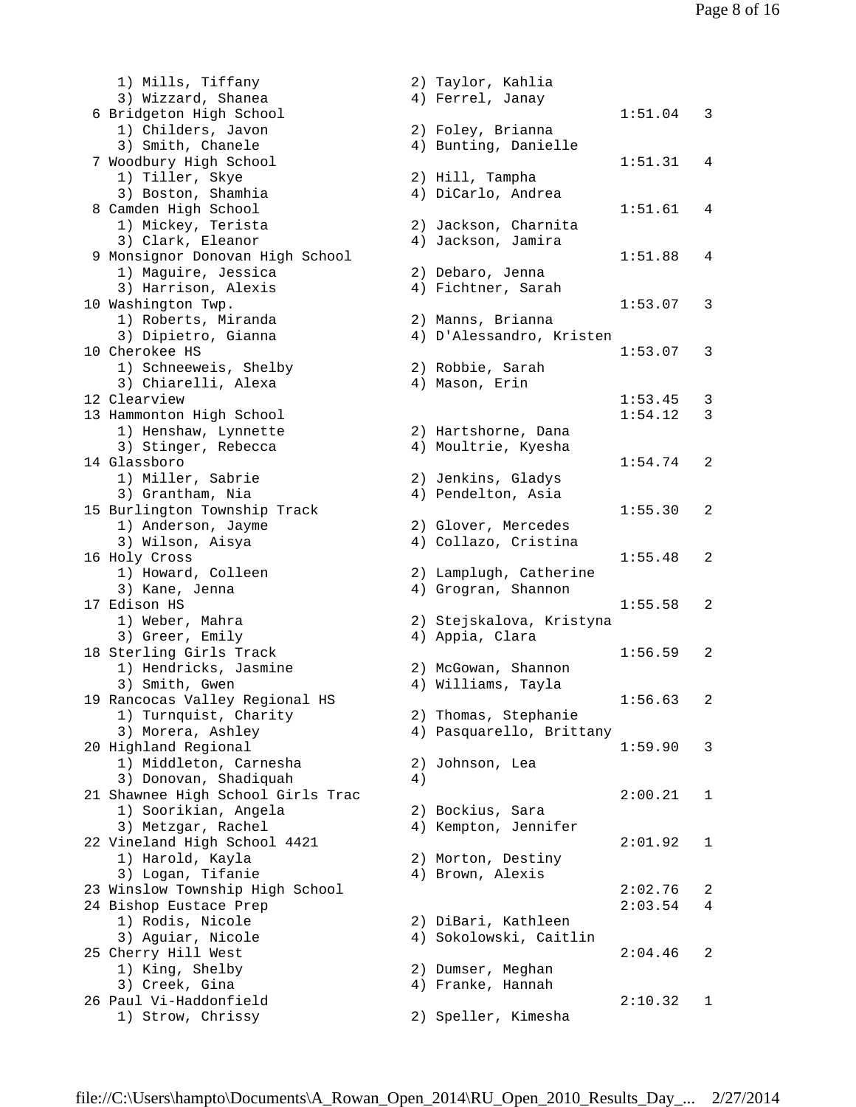1) Mills, Tiffany 2) Taylor, Kahlia 3) Wizzard, Shanea  $\hskip1cm \hskip1cm 4$ ) Ferrel, Janay 6 Bridgeton High School 1:51.04 3 1) Childers, Javon 2) Foley, Brianna 3) Smith, Chanele 4) Bunting, Danielle 7 Woodbury High School 1:51.31 4 1) Tiller, Skye 2) Hill, Tampha 3) Boston, Shamhia 4) DiCarlo, Andrea 8 Camden High School 1:51.61 4 1) Mickey, Terista 2) Jackson, Charnita 3) Clark, Eleanor (4) Jackson, Jamira 9 Monsignor Donovan High School 1:51.88 4 1) Maguire, Jessica 2) Debaro, Jenna 3) Harrison, Alexis 4) Fichtner, Sarah 10 Washington Twp. 1:53.07 3 1) Roberts, Miranda 2) Manns, Brianna 3) Dipietro, Gianna 4) D'Alessandro, Kristen 10 Cherokee HS 1:53.07 3 1) Schneeweis, Shelby 2) Robbie, Sarah 3) Chiarelli, Alexa (4) Mason, Erin 12 Clearview 1:53.45 3 13 Hammonton High School 1:54.12 3 1) Henshaw, Lynnette 2) Hartshorne, Dana 3) Stinger, Rebecca 4) Moultrie, Kyesha 14 Glassboro 1:54.74 2 1) Miller, Sabrie 2) Jenkins, Gladys 3) Grantham, Nia 4) Pendelton, Asia 15 Burlington Township Track 1:55.30 2 1) Anderson, Jayme 2) Glover, Mercedes 3) Wilson, Aisya 4) Collazo, Cristina 16 Holy Cross 1:55.48 2 1) Howard, Colleen 2) Lamplugh, Catherine 3) Kane, Jenna 4) Grogran, Shannon 17 Edison HS 1:55.58 2 1) Weber, Mahra 2) Stejskalova, Kristyna 3) Greer, Emily (4) Appia, Clara 18 Sterling Girls Track 1:56.59 2 1) Hendricks, Jasmine 2) McGowan, Shannon 3) Smith, Gwen 1988 (2008) 4) Williams, Tayla 19 Rancocas Valley Regional HS 1:56.63 2 1) Turnquist, Charity 2) Thomas, Stephanie 3) Morera, Ashley 4) Pasquarello, Brittany 20 Highland Regional 1:59.90 3 1) Middleton, Carnesha 2) Johnson, Lea 3) Donovan, Shadiquah (4) 21 Shawnee High School Girls Trac 2:00.21 1 1) Soorikian, Angela 2) Bockius, Sara 3) Metzgar, Rachel 4) Kempton, Jennifer 22 Vineland High School 4421 2:01.92 1 1) Harold, Kayla 2) Morton, Destiny 3) Logan, Tifanie 4) Brown, Alexis 24 Bishop Eustace Prep 2:03.54 4 1) Rodis, Nicole 2) DiBari, Kathleen 3) Aguiar, Nicole 4) Sokolowski, Caitlin 25 Cherry Hill West 2:04.46 2 1) King, Shelby 2) Dumser, Meghan 3) Creek, Gina (1999) (1999) (1999) (1999) (1999) (1999) (1999) (1999) (1999) (1999) (1999) (1999) (1999) (199 26 Paul Vi-Haddonfield 2:10.32 1

23 Winslow Township High School 2:02.76 2 1) Strow, Chrissy 2) Speller, Kimesha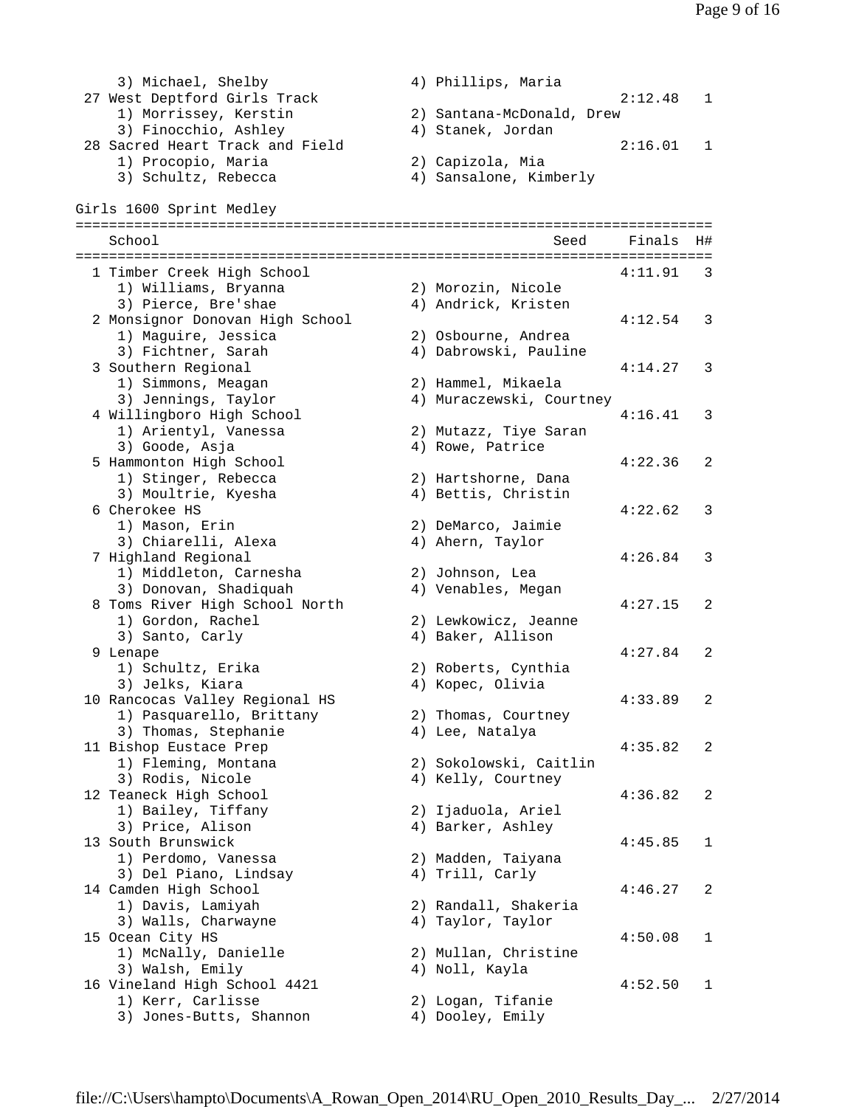3) Michael, Shelby 4) Phillips, Maria 27 West Deptford Girls Track 2:12.48 1<br>1) Morrissey, Kerstin 2) Santana-McDonald, Drew 1) Morrissey, Kerstin 2) Santana-McDonald, Drew 3) Finocchio, Ashley 4) Stanek, Jordan 28 Sacred Heart Track and Field<br>
2:16.01 1 Procopio, Maria 2:16.01 1 1) Procopio, Maria 2) Capizola, Mia 3) Schultz, Rebecca 4) Sansalone, Kimberly Girls 1600 Sprint Medley ============================================================================ School Seed Finals H# ============================================================================ 1 Timber Creek High School 4:11.91 3 1) Williams, Bryanna 2) Morozin, Nicole 3) Pierce, Bre'shae (4) Andrick, Kristen 2 Monsignor Donovan High School 4:12.54 3 1) Maguire, Jessica 2) Osbourne, Andrea 3) Fichtner, Sarah 4) Dabrowski, Pauline 3) Fichtner, Sarah (a) 4) Dabrowski, Pauline (3) Southern Regional (1) 4:14.27 3<br>1) Simmons, Meagan (2) Hammel, Mikaela (3) Jennings, Taylor (4) Muraczewski, Courtney 2) Hammel, Mikaela<br>1) Mi 4) Muraczewski, Courtney 4 Willingboro High School 4:16.41 3 1) Arientyl, Vanessa 2) Mutazz, Tiye Saran 3) Goode, Asja (2008) (2008) 4) Rowe, Patrice 5 Hammonton High School 4:22.36 2 1) Stinger, Rebecca 2) Hartshorne, Dana 3) Moultrie, Kyesha 4) Bettis, Christin 6 Cherokee HS 4:22.62 3 1) Mason, Erin 2) DeMarco, Jaimie 3) Chiarelli, Alexa (4) Ahern, Taylor 7 Highland Regional 4:26.84 3 1) Middleton, Carnesha 2) Johnson, Lea 3) Donovan, Shadiquah 4) Venables, Megan 8 Toms River High School North 4:27.15 2 1) Gordon, Rachel 2) Lewkowicz, Jeanne 3) Santo, Carly 19 (4) Baker, Allison 9 Lenape 4:27.84 2 1) Schultz, Erika 2) Roberts, Cynthia 3) Jelks, Kiara (4) Kopec, Olivia 10 Rancocas Valley Regional HS 4:33.89 2 1) Pasquarello, Brittany 2) Thomas, Courtney 3) Thomas, Stephanie  $4)$  Lee, Natalya 11 Bishop Eustace Prep 2022 2 1) Fleming, Montana 2) Sokolowski, Caitlin 3) Rodis, Nicole 4) Kelly, Courtney 12 Teaneck High School 4:36.82 2 1) Bailey, Tiffany 2) Ijaduola, Ariel 3) Price, Alison (4) Barker, Ashley 13 South Brunswick 4:45.85 1 1) Perdomo, Vanessa 2) Madden, Taiyana 3) Del Piano, Lindsay (4) Trill, Carly 14 Camden High School 4:46.27 2 1) Davis, Lamiyah 2) Randall, Shakeria 3) Walls, Charwayne  $\hphantom{i}$  4) Taylor, Taylor 15 Ocean City HS 4:50.08 1 1) McNally, Danielle 2) Mullan, Christine 3) Walsh, Emily 4) Noll, Kayla 16 Vineland High School 4421 4:52.50 1<br>1) Kerr, Carlisse 2) Logan, Tifanie<br>3) Jones-Butts, Shannon 4) Dooley, Emily 1) Kerr, Carlisse 2) Logan, Tifanie 3) Jones-Butts, Shannon (4) Dooley, Emily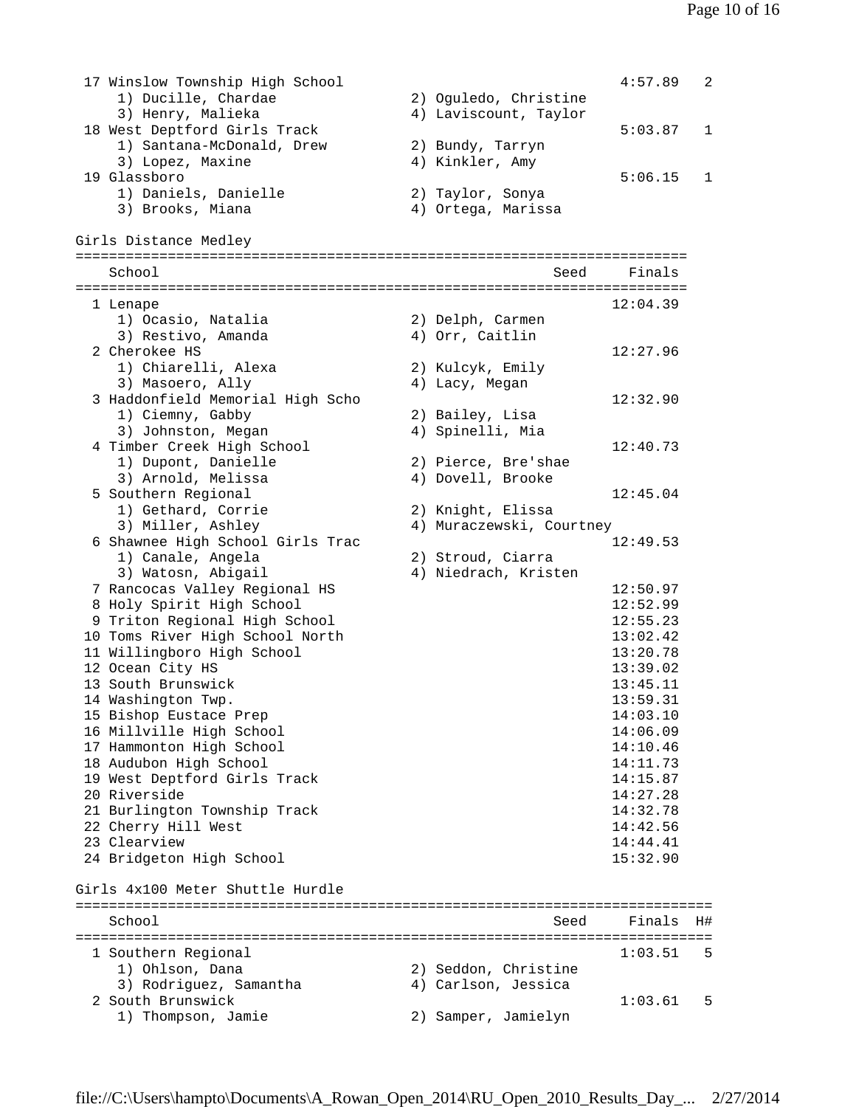17 Winslow Township High School 4:57.89 2<br>1) Ducille, Chardae 2) Oguledo, Christine 1) Ducille, Chardae 3) Henry, Malieka (4) Laviscount, Taylor 18 West Deptford Girls Track 5:03.87 1 1) Santana-McDonald, Drew 2) Bundy, Tarryn 3) Lopez, Maxine (4) Kinkler, Amy 19 Glassboro 5:06.15 1 1) Daniels, Danielle 2) Taylor, Sonya 3) Brooks, Miana 4) Ortega, Marissa Girls Distance Medley ========================================================================= School Seed Finals ========================================================================= 1 Lenape 12:04.39 1) Ocasio, Natalia 2) Delph, Carmen 3) Restivo, Amanda (4) Orr, Caitlin 2 Cherokee HS 12:27.96 1) Chiarelli, Alexa 2) Kulcyk, Emily 3) Masoero, Ally (4) Lacy, Megan 3 Haddonfield Memorial High Scho 12:32.90 1) Ciemny, Gabby 2) Bailey, Lisa 3) Johnston, Megan 4) Spinelli, Mia 4 Timber Creek High School 12:40.73 1) Dupont, Danielle 2) Pierce, Bre'shae 3) Arnold, Melissa 4) Dovell, Brooke 5 Southern Regional 12:45.04 1) Gethard, Corrie 2) Knight, Elissa 3) Miller, Ashley 4) Muraczewski, Courtney 6 Shawnee High School Girls Trac 12:49.53 1) Canale, Angela (2) Stroud, Ciarra<br>3) Watosh Abigail (4) Miedrach Krist 3) Watosn, Abigail 4) Niedrach, Kristen 7 Rancocas Valley Regional HS 12:50.97 8 Holy Spirit High School 12:52.99 9 Triton Regional High School 12:55.23 10 Toms River High School North 13:02.42 11 Willingboro High School 13:20.78 12 Ocean City HS 13:39.02 13 South Brunswick 13:45.11 14 Washington Twp. 13:59.31 15 Bishop Eustace Prep 14:03.10 16 Millville High School 14:06.09 17 Hammonton High School 14:10.46 18 Audubon High School 14:11.73 19 West Deptford Girls Track 14:15.87 20 Riverside 14:27.28 21 Burlington Township Track 14:32.78 22 Cherry Hill West 14:42.56 23 Clearview 14:44.41 24 Bridgeton High School 15:32.90 Girls 4x100 Meter Shuttle Hurdle ============================================================================ School Seed Finals H# ============================================================================ 1 Southern Regional 1:03.51 5<br>1) Ohlson, Dana 2) Seddon, Christine 1) Ohlson, Dana 2) Seddon, Christine 3) Rodriguez, Samantha 4) Carlson, Jessica 2 South Brunswick 1:03.61 5<br>1) Thompson, Jamie 2) Samper, Jamielyn 2) Samper, Jamielyn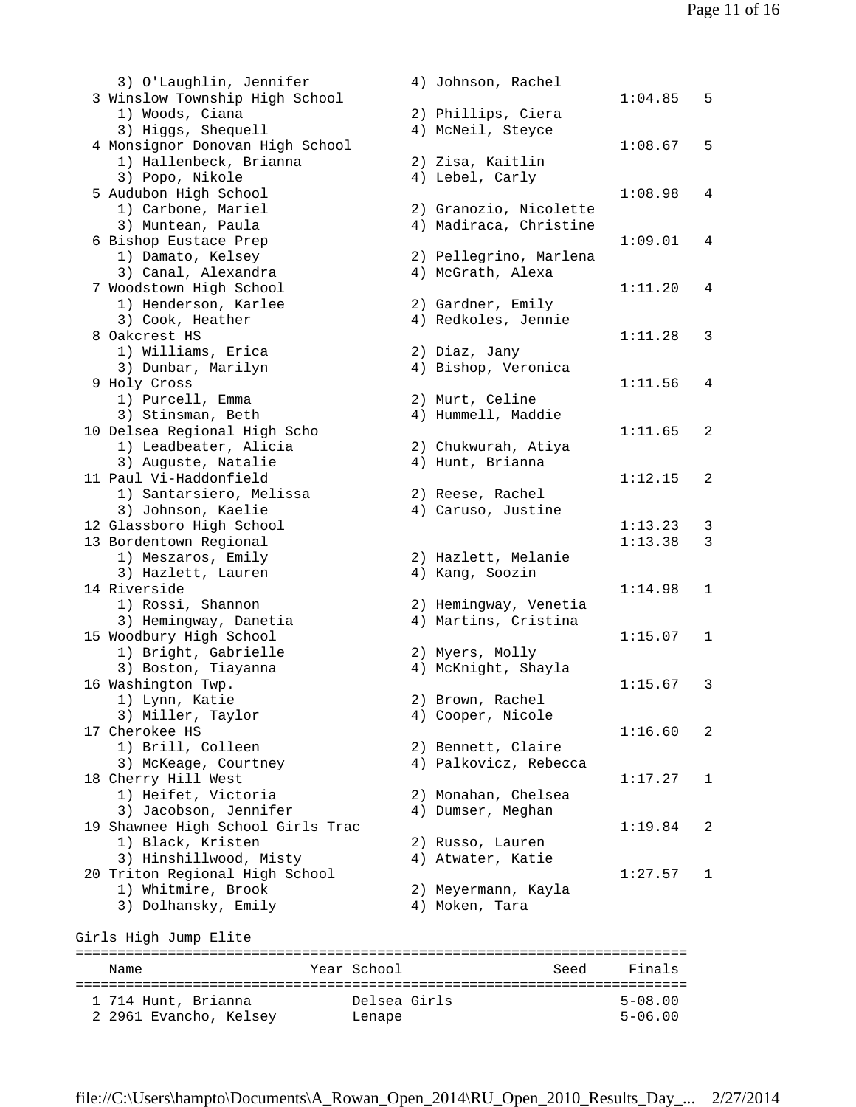3) O'Laughlin, Jennifer 4) Johnson, Rachel 3 Winslow Township High School 1:04.85 5 1) Woods, Ciana (2) Phillips, Ciera<br>3) Hiqqs, Shequell (4) McNeil, Steyce 3) Higgs, Shequell 4) McNeil, Steyce 4 Monsignor Donovan High School 1:08.67 5 1) Hallenbeck, Brianna 2) Zisa, Kaitlin 3) Popo, Nikole 4) Lebel, Carly 5 Audubon High School 1:08.98 4 1) Carbone, Mariel 2) Granozio, Nicolette 3) Muntean, Paula 4) Madiraca, Christine 6 Bishop Eustace Prep 1:09.01 4 2) Pellegrino, Marlena<br>4) McGrath, Alexa 3) Canal, Alexandra (4) McGrath, Alexa 7 Woodstown High School 1:11.20 4 1) Henderson, Karlee 2) Gardner, Emily 3) Cook, Heather (4) Redkoles, Jennie 8 Oakcrest HS 1:11.28 3 1) Williams, Erica 2) Diaz, Jany 3) Dunbar, Marilyn 1988 (1988) 4 Bishop, Veronica 9 Holy Cross 1:11.56 4 1) Purcell, Emma 2) Murt, Celine 3) Stinsman, Beth 4) Hummell, Maddie 10 Delsea Regional High Scho 1:11.65 2 1) Leadbeater, Alicia 2) Chukwurah, Atiya 3) Auguste, Natalie 4) Hunt, Brianna 11 Paul Vi-Haddonfield 1:12.15 2 1) Santarsiero, Melissa 2) Reese, Rachel 3) Johnson, Kaelie 4) Caruso, Justine 12 Glassboro High School 1:13.23 3 13 Bordentown Regional 1:13.38 3 1) Meszaros, Emily 2) Hazlett, Melanie 3) Hazlett, Lauren (1988) Hazlett, Lauren (1988) Hazlett, Anglett, Anglett, Anglett, Anglett, American (1988) 14 Riverside 1:14.98 1 1) Rossi, Shannon 2) Hemingway, Venetia 3) Hemingway, Danetia 4) Martins, Cristina 15 Woodbury High School 1:15.07 1 1) Bright, Gabrielle 2) Myers, Molly 3) Boston, Tiayanna 4) McKnight, Shayla 16 Washington Twp. 1:15.67 3 1) Lynn, Katie 2) Brown, Rachel 3) Miller, Taylor (4) Cooper, Nicole 17 Cherokee HS 1:16.60 2 1) Brill, Colleen 2) Bennett, Claire 3) McKeage, Courtney 4) Palkovicz, Rebecca 18 Cherry Hill West 1:17.27 1 1) Heifet, Victoria 2) Monahan, Chelsea 3) Jacobson, Jennifer (4) Dumser, Meghan 19 Shawnee High School Girls Trac 1:19.84 2 1) Black, Kristen 2) Russo, Lauren 3) Hinshillwood, Misty (4) Atwater, Katie 20 Triton Regional High School 1:27.57 1 1) Whitmire, Brook 2) Meyermann, Kayla 1) Whitmire, Brook (2) Meyermann, K<br>3) Dolhansky, Emily (4) Moken, Tara Girls High Jump Elite ========================================================================= Name **Name** Year School Seed Finals ========================================================================= 1 714 Hunt, Brianna Delsea Girls 5-08.00

2 2961 Evancho, Kelsey Lenape 5-06.00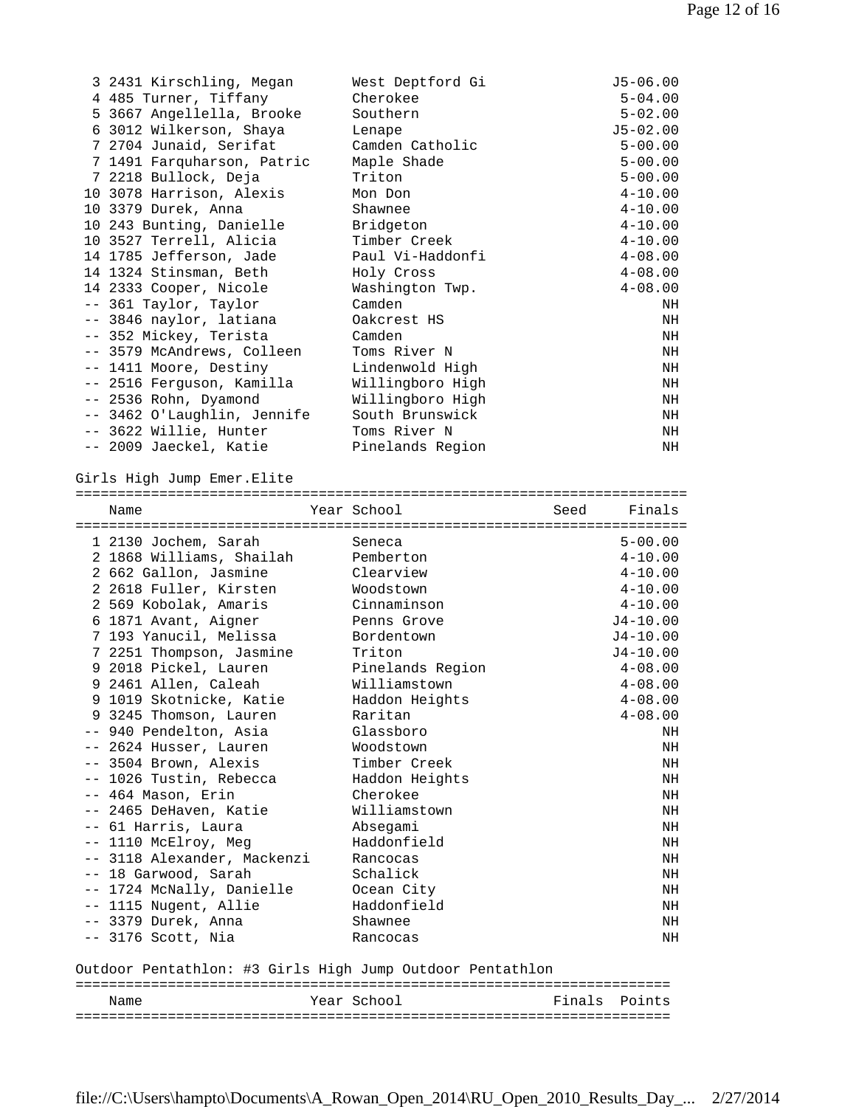| 3 2431 Kirschling, Megan    | West Deptford Gi | J5-06.00     |
|-----------------------------|------------------|--------------|
| 4 485 Turner, Tiffany       | Cherokee         | $5 - 04.00$  |
| 5 3667 Angellella, Brooke   | Southern         | $5 - 02.00$  |
| 6 3012 Wilkerson, Shaya     | Lenape           | $J5 - 02.00$ |
| 7 2704 Junaid, Serifat      | Camden Catholic  | $5 - 00.00$  |
| 7 1491 Farquharson, Patric  | Maple Shade      | $5 - 00.00$  |
| 7 2218 Bullock, Deja        | Triton           | $5 - 00.00$  |
| 10 3078 Harrison, Alexis    | Mon Don          | $4 - 10.00$  |
| 10 3379 Durek, Anna         | Shawnee          | $4 - 10.00$  |
| 10 243 Bunting, Danielle    | Bridgeton        | $4 - 10.00$  |
| 10 3527 Terrell, Alicia     | Timber Creek     | $4 - 10.00$  |
| 14 1785 Jefferson, Jade     | Paul Vi-Haddonfi | $4 - 08.00$  |
| 14 1324 Stinsman, Beth      | Holy Cross       | $4 - 08.00$  |
| 14 2333 Cooper, Nicole      | Washington Twp.  | $4 - 08.00$  |
| -- 361 Taylor, Taylor       | Camden           | NH           |
| -- 3846 naylor, latiana     | Oakcrest HS      | ΝH           |
| -- 352 Mickey, Terista      | Camden           | NH           |
| -- 3579 McAndrews, Colleen  | Toms River N     | NH           |
| -- 1411 Moore, Destiny      | Lindenwold High  | NH           |
| -- 2516 Ferquson, Kamilla   | Willingboro High | NH           |
| -- 2536 Rohn, Dyamond       | Willingboro High | NH           |
| -- 3462 O'Laughlin, Jennife | South Brunswick  | NH           |
| -- 3622 Willie, Hunter      | Toms River N     | NH           |
| -- 2009 Jaeckel, Katie      | Pinelands Region | NH           |

Girls High Jump Emer.Elite

| Name                                                      |  | Year School      |  | Seed Finals  |  |  |
|-----------------------------------------------------------|--|------------------|--|--------------|--|--|
|                                                           |  |                  |  |              |  |  |
| 1 2130 Jochem, Sarah                                      |  | Seneca           |  | $5 - 00.00$  |  |  |
| 2 1868 Williams, Shailah                                  |  | Pemberton        |  | $4 - 10.00$  |  |  |
| 2 662 Gallon, Jasmine                                     |  | Clearview        |  | $4 - 10.00$  |  |  |
| 2 2618 Fuller, Kirsten                                    |  | Woodstown        |  | $4 - 10.00$  |  |  |
| 2 569 Kobolak, Amaris                                     |  | Cinnaminson      |  | $4 - 10.00$  |  |  |
| 6 1871 Avant, Aigner                                      |  | Penns Grove      |  | $J4 - 10.00$ |  |  |
| 7 193 Yanucil, Melissa                                    |  | Bordentown       |  | $J4 - 10.00$ |  |  |
| 7 2251 Thompson, Jasmine                                  |  | Triton           |  | $J4 - 10.00$ |  |  |
| 9 2018 Pickel, Lauren                                     |  | Pinelands Region |  | $4 - 08.00$  |  |  |
| 9 2461 Allen, Caleah                                      |  | Williamstown     |  | $4 - 08.00$  |  |  |
| 9 1019 Skotnicke, Katie                                   |  | Haddon Heights   |  | $4 - 08.00$  |  |  |
| 9 3245 Thomson, Lauren                                    |  | Raritan          |  | $4 - 08.00$  |  |  |
| -- 940 Pendelton, Asia                                    |  | Glassboro        |  | NH           |  |  |
| -- 2624 Husser, Lauren                                    |  | Woodstown        |  | NH           |  |  |
| -- 3504 Brown, Alexis                                     |  | Timber Creek     |  | NH           |  |  |
| -- 1026 Tustin, Rebecca                                   |  | Haddon Heights   |  | NH           |  |  |
| -- 464 Mason, Erin                                        |  | Cherokee         |  | NH           |  |  |
| -- 2465 DeHaven, Katie                                    |  | Williamstown     |  | NH           |  |  |
| -- 61 Harris, Laura                                       |  | Absegami         |  | NH           |  |  |
| -- 1110 McElroy, Meg                                      |  | Haddonfield      |  | NH           |  |  |
| -- 3118 Alexander, Mackenzi                               |  | Rancocas         |  | NH           |  |  |
| -- 18 Garwood, Sarah                                      |  | Schalick         |  | NH           |  |  |
| -- 1724 McNally, Danielle                                 |  | Ocean City       |  | NH           |  |  |
| -- 1115 Nugent, Allie                                     |  | Haddonfield      |  | NH           |  |  |
| -- 3379 Durek, Anna                                       |  | Shawnee          |  | NH           |  |  |
| $--$ 3176 Scott, Nia                                      |  | Rancocas         |  | NH           |  |  |
|                                                           |  |                  |  |              |  |  |
| Outdoor Pentathlon: #3 Girls High Jump Outdoor Pentathlon |  |                  |  |              |  |  |
|                                                           |  |                  |  |              |  |  |

Name Year School Finals Points =======================================================================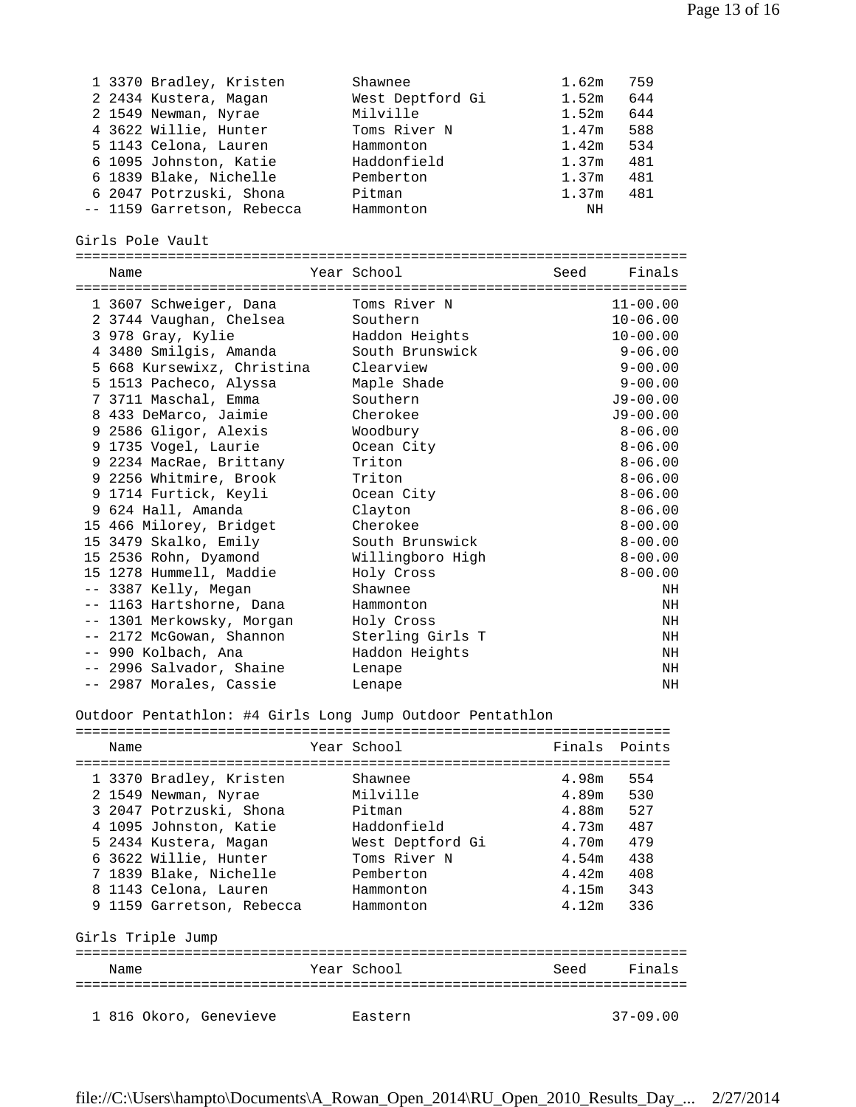| 1 3370 Bradley, Kristen                                   | Shawnee          | 1.62m<br>759             |
|-----------------------------------------------------------|------------------|--------------------------|
| 2 2434 Kustera, Magan                                     | West Deptford Gi | 1.52m<br>644             |
| 2 1549 Newman, Nyrae                                      | Milville         | 1.52m<br>644             |
| 4 3622 Willie, Hunter                                     | Toms River N     | 588<br>1.47m             |
| 5 1143 Celona, Lauren                                     | Hammonton        | 1.42m<br>534             |
| 6 1095 Johnston, Katie                                    | Haddonfield      | 1.37m<br>481             |
| 6 1839 Blake, Nichelle                                    | Pemberton        | 1.37m<br>481             |
| 6 2047 Potrzuski, Shona                                   | Pitman           | 1.37 <sub>m</sub><br>481 |
| -- 1159 Garretson, Rebecca                                | Hammonton        | NH                       |
|                                                           |                  |                          |
| Girls Pole Vault                                          |                  |                          |
|                                                           |                  |                          |
| Name                                                      | Year School      | Finals<br>Seed           |
|                                                           |                  |                          |
| 1 3607 Schweiger, Dana                                    | Toms River N     | $11 - 00.00$             |
| 2 3744 Vaughan, Chelsea                                   | Southern         | $10 - 06.00$             |
| 3 978 Gray, Kylie                                         | Haddon Heights   | $10 - 00.00$             |
| 4 3480 Smilgis, Amanda                                    | South Brunswick  | $9 - 06.00$              |
| 5 668 Kursewixz, Christina                                | Clearview        | $9 - 00.00$              |
| 5 1513 Pacheco, Alyssa                                    | Maple Shade      | $9 - 00.00$              |
| 7 3711 Maschal, Emma                                      | Southern         | $J9 - 00.00$             |
| 8 433 DeMarco, Jaimie                                     | Cherokee         | $J9 - 00.00$             |
| 9 2586 Gligor, Alexis                                     | Woodbury         | $8 - 06.00$              |
| 9 1735 Vogel, Laurie                                      |                  | $8 - 06.00$              |
|                                                           | Ocean City       |                          |
| 9 2234 MacRae, Brittany                                   | Triton           | $8 - 06.00$              |
| 9 2256 Whitmire, Brook                                    | Triton           | $8 - 06.00$              |
| 9 1714 Furtick, Keyli                                     | Ocean City       | $8 - 06.00$              |
| 9 624 Hall, Amanda                                        | Clayton          | $8 - 06.00$              |
| 15 466 Milorey, Bridget                                   | Cherokee         | $8 - 00.00$              |
| 15 3479 Skalko, Emily                                     | South Brunswick  | $8 - 00.00$              |
| 15 2536 Rohn, Dyamond                                     | Willingboro High | $8 - 00.00$              |
| 15 1278 Hummell, Maddie                                   | Holy Cross       | $8 - 00.00$              |
| -- 3387 Kelly, Megan                                      | Shawnee          | NH                       |
| -- 1163 Hartshorne, Dana                                  | Hammonton        | ΝH                       |
| -- 1301 Merkowsky, Morgan                                 | Holy Cross       | ΝH                       |
| -- 2172 McGowan, Shannon                                  | Sterling Girls T | ΝH                       |
| -- 990 Kolbach, Ana                                       | Haddon Heights   | ΝH                       |
| -- 2996 Salvador, Shaine                                  | Lenape           | ΝH                       |
| -- 2987 Morales, Cassie                                   | Lenape           | ΝH                       |
|                                                           |                  |                          |
| Outdoor Pentathlon: #4 Girls Long Jump Outdoor Pentathlon |                  |                          |
|                                                           |                  |                          |
| Name                                                      | Year School      | Finals<br>Points         |
|                                                           |                  |                          |
| 1 3370 Bradley, Kristen                                   | Shawnee          | 4.98m<br>554             |
| 2 1549 Newman, Nyrae                                      | Milville         | 4.89m<br>530             |
| 3 2047 Potrzuski, Shona                                   | Pitman           | 527<br>4.88m             |
| 4 1095 Johnston, Katie                                    | Haddonfield      | 487<br>4.73m             |
| 5 2434 Kustera, Magan                                     | West Deptford Gi | 4.70m<br>479             |
| 6 3622 Willie, Hunter                                     | Toms River N     | 4.54m<br>438             |
|                                                           |                  |                          |
| 7 1839 Blake, Nichelle                                    | Pemberton        | $4.42m$ $408$            |
| 8 1143 Celona, Lauren                                     | Hammonton        | 4.15m 343                |
| 9 1159 Garretson, Rebecca                                 | Hammonton        | 4.12m<br>336             |
|                                                           |                  |                          |
| Girls Triple Jump                                         |                  |                          |
| Name                                                      | Year School      | Seed<br>Finals           |
|                                                           |                  |                          |
|                                                           |                  |                          |
| 1 816 Okoro, Genevieve                                    | Eastern          | $37 - 09.00$             |
|                                                           |                  |                          |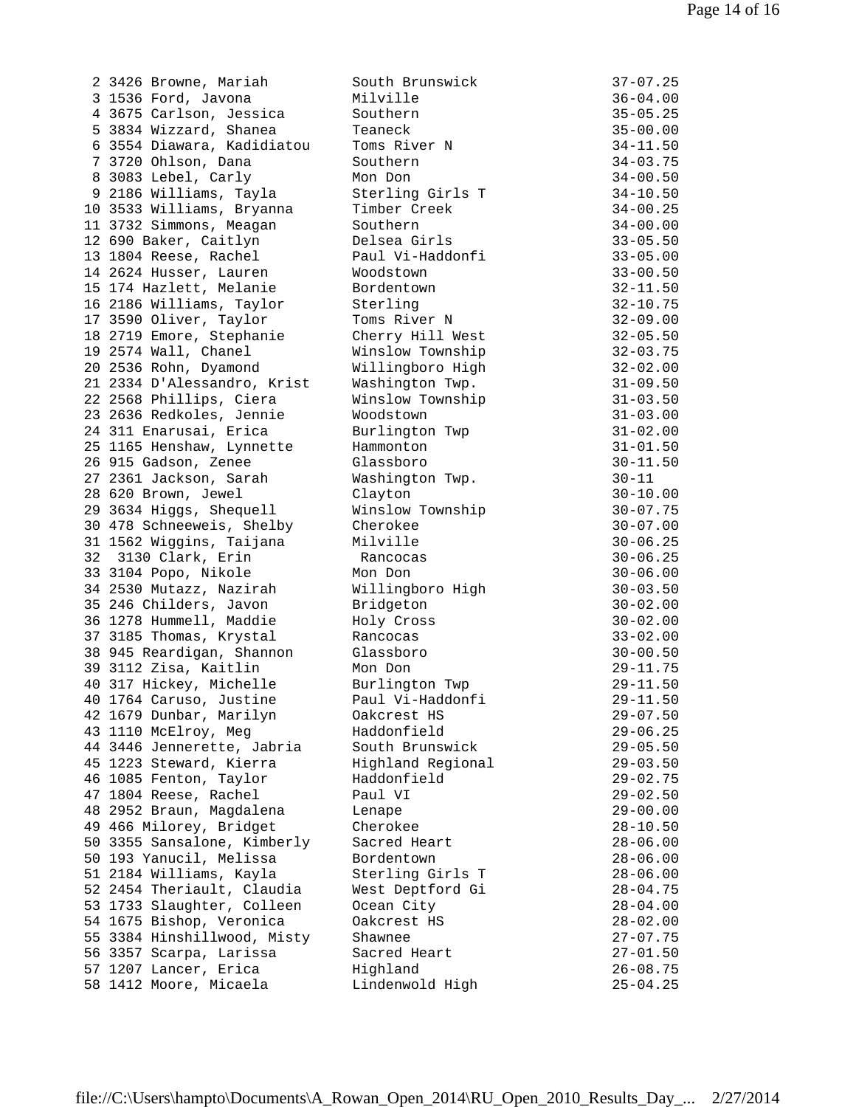|    | 2 3426 Browne, Mariah       | South Brunswick   | $37 - 07.25$ |
|----|-----------------------------|-------------------|--------------|
|    | 3 1536 Ford, Javona         | Milville          | $36 - 04.00$ |
|    | 4 3675 Carlson, Jessica     | Southern          | $35 - 05.25$ |
|    | 5 3834 Wizzard, Shanea      | Teaneck           | $35 - 00.00$ |
|    | 6 3554 Diawara, Kadidiatou  | Toms River N      | $34 - 11.50$ |
|    |                             | Southern          |              |
|    | 7 3720 Ohlson, Dana         |                   | $34 - 03.75$ |
|    | 8 3083 Lebel, Carly         | Mon Don           | $34 - 00.50$ |
|    | 9 2186 Williams, Tayla      | Sterling Girls T  | $34 - 10.50$ |
|    | 10 3533 Williams, Bryanna   | Timber Creek      | $34 - 00.25$ |
|    | 11 3732 Simmons, Meagan     | Southern          | $34 - 00.00$ |
|    | 12 690 Baker, Caitlyn       | Delsea Girls      | $33 - 05.50$ |
|    | 13 1804 Reese, Rachel       | Paul Vi-Haddonfi  | $33 - 05.00$ |
|    | 14 2624 Husser, Lauren      | Woodstown         | $33 - 00.50$ |
|    | 15 174 Hazlett, Melanie     | Bordentown        |              |
|    |                             |                   | $32 - 11.50$ |
|    | 16 2186 Williams, Taylor    | Sterling          | $32 - 10.75$ |
|    | 17 3590 Oliver, Taylor      | Toms River N      | $32 - 09.00$ |
|    | 18 2719 Emore, Stephanie    | Cherry Hill West  | $32 - 05.50$ |
|    | 19 2574 Wall, Chanel        | Winslow Township  | $32 - 03.75$ |
|    | 20 2536 Rohn, Dyamond       | Willingboro High  | $32 - 02.00$ |
|    | 21 2334 D'Alessandro, Krist | Washington Twp.   | $31 - 09.50$ |
|    | 22 2568 Phillips, Ciera     | Winslow Township  | $31 - 03.50$ |
|    | 23 2636 Redkoles, Jennie    | Woodstown         | $31 - 03.00$ |
|    |                             |                   |              |
|    | 24 311 Enarusai, Erica      | Burlington Twp    | $31 - 02.00$ |
|    | 25 1165 Henshaw, Lynnette   | Hammonton         | $31 - 01.50$ |
|    | 26 915 Gadson, Zenee        | Glassboro         | $30 - 11.50$ |
|    | 27 2361 Jackson, Sarah      | Washington Twp.   | $30 - 11$    |
|    | 28 620 Brown, Jewel         | Clayton           | $30 - 10.00$ |
|    | 29 3634 Higgs, Shequell     | Winslow Township  | $30 - 07.75$ |
|    | 30 478 Schneeweis, Shelby   | Cherokee          | $30 - 07.00$ |
|    | 31 1562 Wiggins, Taijana    | Milville          | $30 - 06.25$ |
| 32 | 3130 Clark, Erin            | Rancocas          | $30 - 06.25$ |
|    |                             |                   |              |
|    | 33 3104 Popo, Nikole        | Mon Don           | $30 - 06.00$ |
|    | 34 2530 Mutazz, Nazirah     | Willingboro High  | $30 - 03.50$ |
|    | 35 246 Childers, Javon      | Bridgeton         | $30 - 02.00$ |
|    | 36 1278 Hummell, Maddie     | Holy Cross        | $30 - 02.00$ |
|    | 37 3185 Thomas, Krystal     | Rancocas          | $33 - 02.00$ |
|    | 38 945 Reardigan, Shannon   | Glassboro         | $30 - 00.50$ |
|    | 39 3112 Zisa, Kaitlin       | Mon Don           | $29 - 11.75$ |
|    | 40 317 Hickey, Michelle     | Burlington Twp    | $29 - 11.50$ |
|    | 40 1764 Caruso, Justine     | Paul Vi-Haddonfi  | $29 - 11.50$ |
|    | 42 1679 Dunbar, Marilyn     | Oakcrest HS       | $29 - 07.50$ |
|    |                             |                   |              |
|    | 43 1110 McElroy, Meg        | Haddonfield       | $29 - 06.25$ |
|    | 44 3446 Jennerette, Jabria  | South Brunswick   | $29 - 05.50$ |
|    | 45 1223 Steward, Kierra     | Highland Regional | $29 - 03.50$ |
|    | 46 1085 Fenton, Taylor      | Haddonfield       | $29 - 02.75$ |
|    | 47 1804 Reese, Rachel       | Paul VI           | $29 - 02.50$ |
|    | 48 2952 Braun, Magdalena    | Lenape            | $29 - 00.00$ |
|    | 49 466 Milorey, Bridget     | Cherokee          | $28 - 10.50$ |
|    | 50 3355 Sansalone, Kimberly | Sacred Heart      | $28 - 06.00$ |
|    | 50 193 Yanucil, Melissa     | Bordentown        | $28 - 06.00$ |
|    |                             |                   |              |
|    | 51 2184 Williams, Kayla     | Sterling Girls T  | $28 - 06.00$ |
|    | 52 2454 Theriault, Claudia  | West Deptford Gi  | $28 - 04.75$ |
|    | 53 1733 Slaughter, Colleen  | Ocean City        | $28 - 04.00$ |
|    | 54 1675 Bishop, Veronica    | Oakcrest HS       | $28 - 02.00$ |
|    | 55 3384 Hinshillwood, Misty | Shawnee           | $27 - 07.75$ |
|    | 56 3357 Scarpa, Larissa     | Sacred Heart      | $27 - 01.50$ |
|    | 57 1207 Lancer, Erica       | Highland          | $26 - 08.75$ |
|    | 58 1412 Moore, Micaela      | Lindenwold High   | $25 - 04.25$ |
|    |                             |                   |              |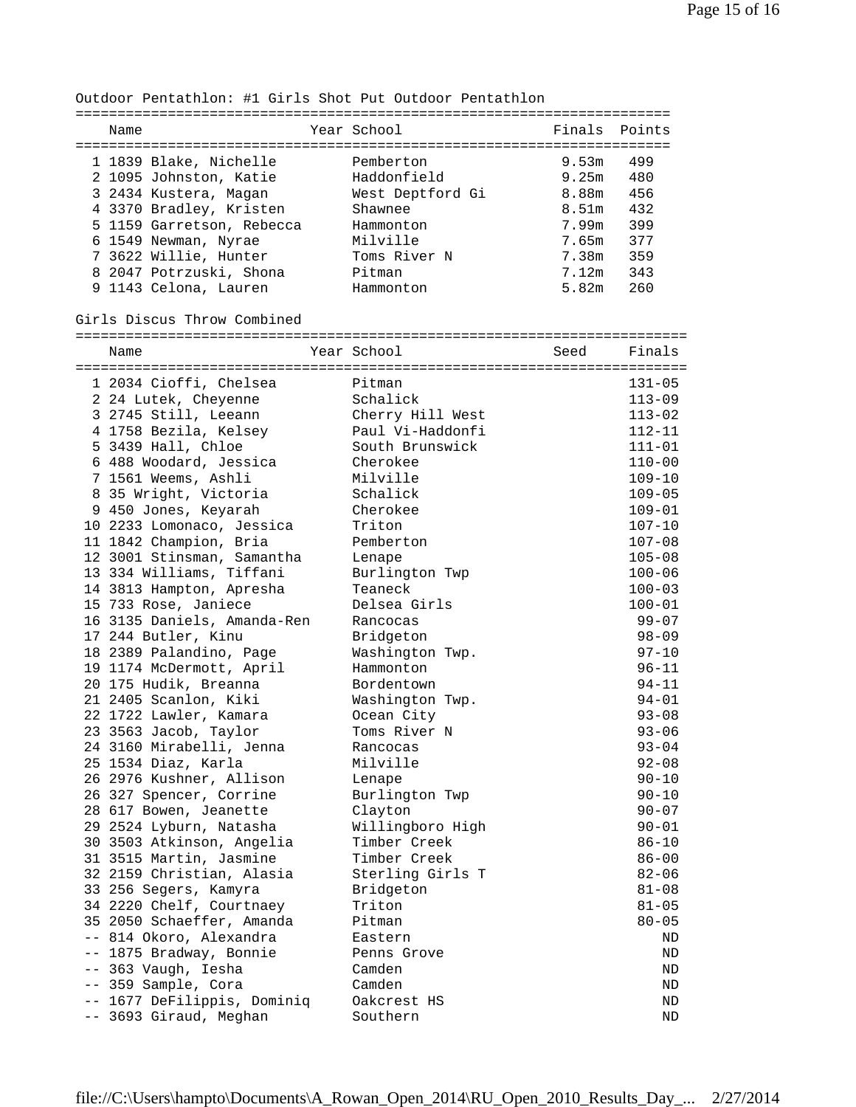Outdoor Pentathlon: #1 Girls Shot Put Outdoor Pentathlon

| Name |                           | Year School      | Finals Points |     |
|------|---------------------------|------------------|---------------|-----|
|      | 1 1839 Blake, Nichelle    | Pemberton        | 9.53m         | 499 |
|      | 2 1095 Johnston, Katie    | Haddonfield      | 9.25m         | 480 |
|      | 3 2434 Kustera, Magan     | West Deptford Gi | 8.88m         | 456 |
|      | 4 3370 Bradley, Kristen   | Shawnee          | 8.51m         | 432 |
|      | 5 1159 Garretson, Rebecca | Hammonton        | 7.99m         | 399 |
|      | 6 1549 Newman, Nyrae      | Milville         | 7.65m         | 377 |
|      | 7 3622 Willie, Hunter     | Toms River N     | 7.38m         | 359 |
|      | 8 2047 Potrzuski, Shona   | Pitman           | 7.12m         | 343 |
|      | 9 1143 Celona, Lauren     | Hammonton        | 5.82m         | 260 |

Girls Discus Throw Combined

=========================================================================

| Name                        | Year School      | Seed | Finals     |
|-----------------------------|------------------|------|------------|
| 1 2034 Cioffi, Chelsea      | Pitman           |      | $131 - 05$ |
| 2 24 Lutek, Cheyenne        | Schalick         |      | $113 - 09$ |
| 3 2745 Still, Leeann        | Cherry Hill West |      | $113 - 02$ |
| 4 1758 Bezila, Kelsey       | Paul Vi-Haddonfi |      | $112 - 11$ |
| 5 3439 Hall, Chloe          | South Brunswick  |      | $111 - 01$ |
| 6 488 Woodard, Jessica      | Cherokee         |      | $110 - 00$ |
| 7 1561 Weems, Ashli         | Milville         |      | 109-10     |
| 8 35 Wright, Victoria       | Schalick         |      | $109 - 05$ |
| 9 450 Jones, Keyarah        | Cherokee         |      | $109 - 01$ |
| 10 2233 Lomonaco, Jessica   | Triton           |      | $107 - 10$ |
| 11 1842 Champion, Bria      | Pemberton        |      | $107 - 08$ |
| 12 3001 Stinsman, Samantha  | Lenape           |      | $105 - 08$ |
| 13 334 Williams, Tiffani    | Burlington Twp   |      | $100 - 06$ |
| 14 3813 Hampton, Apresha    | Teaneck          |      | $100 - 03$ |
| 15 733 Rose, Janiece        | Delsea Girls     |      | $100 - 01$ |
| 16 3135 Daniels, Amanda-Ren | Rancocas         |      | $99 - 07$  |
| 17 244 Butler, Kinu         | Bridgeton        |      | $98 - 09$  |
| 18 2389 Palandino, Page     | Washington Twp.  |      | $97 - 10$  |
| 19 1174 McDermott, April    | Hammonton        |      | $96 - 11$  |
| 20 175 Hudik, Breanna       | Bordentown       |      | $94 - 11$  |
| 21 2405 Scanlon, Kiki       | Washington Twp.  |      | $94 - 01$  |
| 22 1722 Lawler, Kamara      | Ocean City       |      | $93 - 08$  |
| 23 3563 Jacob, Taylor       | Toms River N     |      | $93 - 06$  |
| 24 3160 Mirabelli, Jenna    | Rancocas         |      | $93 - 04$  |
| 25 1534 Diaz, Karla         | Milville         |      | $92 - 08$  |
| 26 2976 Kushner, Allison    | Lenape           |      | $90 - 10$  |
| 26 327 Spencer, Corrine     | Burlington Twp   |      | $90 - 10$  |
| 28 617 Bowen, Jeanette      | Clayton          |      | $90 - 07$  |
| 29 2524 Lyburn, Natasha     | Willingboro High |      | $90 - 01$  |
| 30 3503 Atkinson, Angelia   | Timber Creek     |      | $86 - 10$  |
| 31 3515 Martin, Jasmine     | Timber Creek     |      | $86 - 00$  |
| 32 2159 Christian, Alasia   | Sterling Girls T |      | $82 - 06$  |
| 33 256 Segers, Kamyra       | Bridgeton        |      | $81 - 08$  |
| 34 2220 Chelf, Courtnaey    | Triton           |      | $81 - 05$  |
| 35 2050 Schaeffer, Amanda   | Pitman           |      | $80 - 05$  |
| -- 814 Okoro, Alexandra     | Eastern          |      | ND         |
| -- 1875 Bradway, Bonnie     | Penns Grove      |      | ND         |
| -- 363 Vaugh, Iesha         | Camden           |      | ND         |
| -- 359 Sample, Cora         | Camden           |      | ND         |
| -- 1677 DeFilippis, Dominiq | Oakcrest HS      |      | ND         |
| -- 3693 Giraud, Meghan      | Southern         |      | <b>ND</b>  |